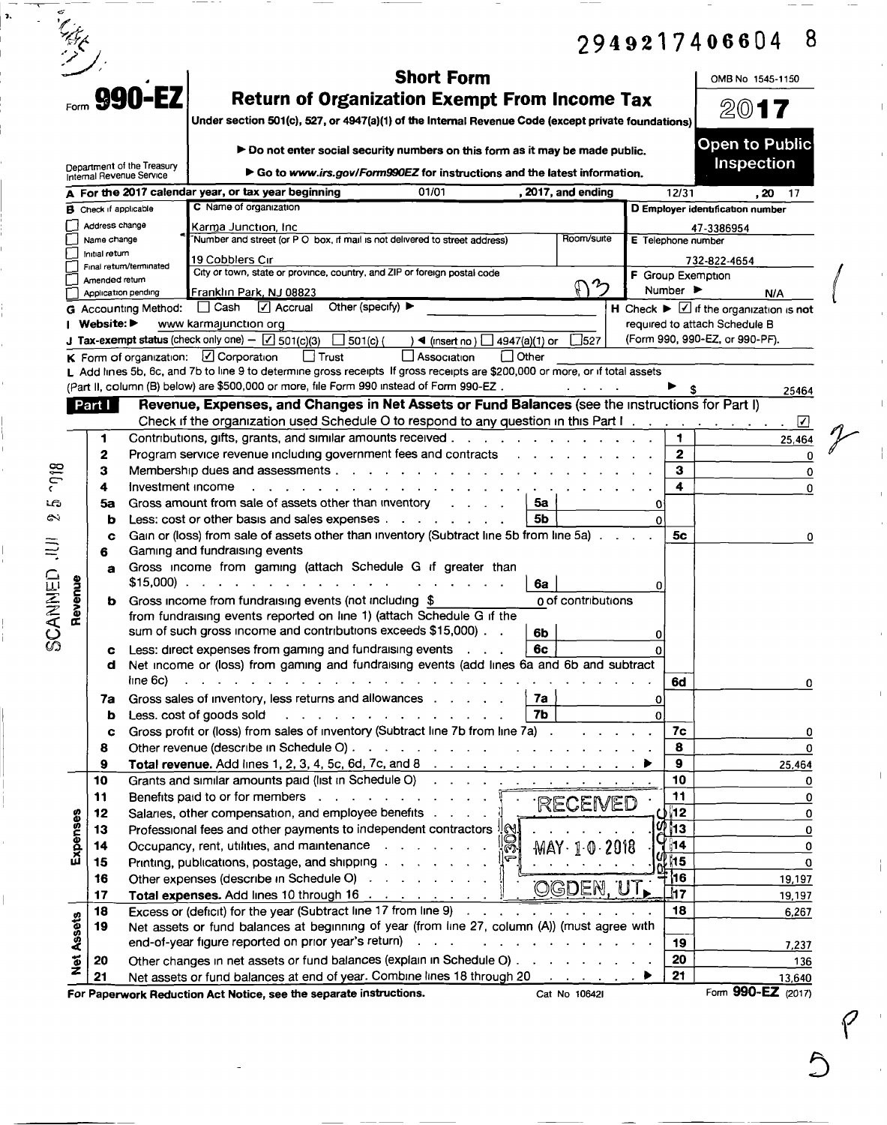|         |                   |                               |                                                        |                                                                                                                                                                                                                                                                                                         |                                      | 8<br>2949217406604                                            |
|---------|-------------------|-------------------------------|--------------------------------------------------------|---------------------------------------------------------------------------------------------------------------------------------------------------------------------------------------------------------------------------------------------------------------------------------------------------------|--------------------------------------|---------------------------------------------------------------|
|         |                   |                               | <b>EQCTD 990-EZ</b>                                    | <b>Short Form</b><br><b>Return of Organization Exempt From Income Tax</b>                                                                                                                                                                                                                               |                                      | OMB No 1545-1150                                              |
|         |                   |                               |                                                        | Under section 501(c), 527, or 4947(a)(1) of the Internal Revenue Code (except private foundations)                                                                                                                                                                                                      |                                      | 2017                                                          |
|         |                   |                               |                                                        | ► Do not enter social security numbers on this form as it may be made public.                                                                                                                                                                                                                           |                                      | <b>Open to Public</b>                                         |
|         |                   |                               | Department of the Treasury<br>Internal Revenue Service | $\triangleright$ Go to www.irs.gov/Form990EZ for instructions and the latest information.                                                                                                                                                                                                               |                                      | Inspection                                                    |
|         |                   |                               |                                                        | A For the 2017 calendar year, or tax year beginning<br>01/01<br>, 2017, and ending                                                                                                                                                                                                                      | 12/31                                | . 20<br>-17                                                   |
|         |                   | <b>B</b> Check if applicable  |                                                        | C Name of organization                                                                                                                                                                                                                                                                                  |                                      | D Employer identification number                              |
|         |                   | Address change<br>Name change |                                                        | Karma Junction, Inc<br>Number and street (or P O box, if mail is not delivered to street address)<br>Room/surte                                                                                                                                                                                         | E Telephone number                   | 47-3386954                                                    |
|         |                   | Initial return                |                                                        |                                                                                                                                                                                                                                                                                                         |                                      |                                                               |
|         |                   |                               | Final return/terminated                                | 19 Cobblers Cır<br>City or town, state or province, country, and ZIP or foreign postal code                                                                                                                                                                                                             | F Group Exemption                    | 732-822-4654                                                  |
|         |                   | Amended return                | Application pending                                    | $\mathcal{P}$<br>N<br>Franklin Park, NJ 08823                                                                                                                                                                                                                                                           | Number $\blacktriangleright$         | N/A                                                           |
|         |                   |                               | <b>G</b> Accounting Method:                            | $\boxed{\triangle}$ Accrual<br>Other (specify) $\blacktriangleright$<br>∣ I Cash                                                                                                                                                                                                                        |                                      | H Check $\blacktriangleright \Box$ if the organization is not |
|         |                   | Website:                      |                                                        | www karmajunction org                                                                                                                                                                                                                                                                                   |                                      | required to attach Schedule B                                 |
|         |                   |                               |                                                        | <b>J Tax-exempt status</b> (check only one) - $\boxed{\angle}$ 501(c)(3)<br>3527<br>$501(c)$ (<br>◀ (insert no) $\Box$ 4947(a)(1) or                                                                                                                                                                    |                                      | (Form 990, 990-EZ, or 990-PF).                                |
|         |                   |                               |                                                        | $\boldsymbol{\mathsf{K}}$ Form of organization: $\Box$ Corporation<br>│ † Trust<br>l Other<br>∐ Association<br>L Add lines 5b, 6c, and 7b to line 9 to determine gross receipts If gross receipts are \$200,000 or more, or if total assets                                                             |                                      |                                                               |
|         |                   |                               |                                                        | (Part II, column (B) below) are \$500,000 or more, file Form 990 instead of Form 990-EZ.                                                                                                                                                                                                                |                                      | 25464                                                         |
|         |                   | Part I                        |                                                        | Revenue, Expenses, and Changes in Net Assets or Fund Balances (see the instructions for Part I)                                                                                                                                                                                                         |                                      |                                                               |
|         |                   |                               |                                                        | Check if the organization used Schedule O to respond to any question in this Part I.                                                                                                                                                                                                                    |                                      | ☑                                                             |
|         |                   | $\mathbf 1$                   |                                                        | Contributions, gifts, grants, and similar amounts received.<br>$\mathbf{r}$ . The state of the state of the state $\mathbf{r}$                                                                                                                                                                          | 1                                    | 25,464                                                        |
|         |                   | 2                             |                                                        | Program service revenue including government fees and contracts<br><u>and a straightful and a straight and a straight and a straight and a straight and a straight and a straight and a straight and a straight and a straight and a straight and a straight and a straight and a straight and a st</u> | 2                                    | 0                                                             |
| 918     |                   | 3                             | Membership dues and assessments.                       | з                                                                                                                                                                                                                                                                                                       | 0                                    |                                                               |
| دی      |                   | 4                             | Investment income                                      | 4                                                                                                                                                                                                                                                                                                       | 0                                    |                                                               |
| దు      |                   | 5a<br>b                       |                                                        | Gross amount from sale of assets other than inventory<br>5а<br>5b<br>Less: cost or other basis and sales expenses                                                                                                                                                                                       | 0<br>$\Omega$                        |                                                               |
|         |                   | C                             |                                                        | Gain or (loss) from sale of assets other than inventory (Subtract line 5b from line 5a).                                                                                                                                                                                                                | 5с                                   | 0                                                             |
| ミ       |                   | 6                             |                                                        | Gaming and fundraising events                                                                                                                                                                                                                                                                           |                                      |                                                               |
|         |                   | a                             |                                                        | Gross income from gaming (attach Schedule G if greater than                                                                                                                                                                                                                                             |                                      |                                                               |
|         | Revenue           |                               |                                                        | $$15,000$<br>6a                                                                                                                                                                                                                                                                                         | 0                                    |                                                               |
|         |                   | b                             |                                                        | Gross income from fundraising events (not including \$<br>0 of contributions<br>from fundraising events reported on line 1) (attach Schedule G if the                                                                                                                                                   |                                      |                                                               |
| SCANNED |                   |                               |                                                        | sum of such gross income and contributions exceeds \$15,000).<br>6b                                                                                                                                                                                                                                     | 0                                    |                                                               |
|         |                   |                               |                                                        | Less: direct expenses from gaming and fundraising events<br>6c                                                                                                                                                                                                                                          |                                      |                                                               |
|         |                   | d                             |                                                        | Net income or (loss) from gaming and fundraising events (add lines 6a and 6b and subtract                                                                                                                                                                                                               |                                      |                                                               |
|         |                   |                               | line 6c)                                               | the contract of the contract of the contract of the contract of the contract of the contract of the contract of                                                                                                                                                                                         | 6d                                   | 0                                                             |
|         |                   | 7a                            |                                                        | Gross sales of inventory, less returns and allowances<br>7a                                                                                                                                                                                                                                             | O                                    |                                                               |
|         |                   | b                             |                                                        | 7Ь<br>Less. cost of goods sold<br>and a straightful contract and a straight<br>Gross profit or (loss) from sales of inventory (Subtract line 7b from line 7a) .                                                                                                                                         | $\Omega$<br>7 <sub>c</sub><br>$\sim$ |                                                               |
|         |                   | c<br>8                        |                                                        |                                                                                                                                                                                                                                                                                                         | 8                                    | 0<br>0                                                        |
|         |                   | 9                             |                                                        | <b>Total revenue.</b> Add lines 1, 2, 3, 4, 5c, 6d, 7c, and 8 $\ldots$                                                                                                                                                                                                                                  | 9                                    | 25,464                                                        |
|         |                   | 10                            |                                                        | Grants and similar amounts paid (list in Schedule O)                                                                                                                                                                                                                                                    | 10                                   | 0                                                             |
|         |                   | 11                            |                                                        | Benefits paid to or for members $\ldots$ $\mathbb{F}$<br><b>RECENED</b>                                                                                                                                                                                                                                 | 11                                   | $\mathbf 0$                                                   |
|         |                   | 12                            |                                                        | Salaries, other compensation, and employee benefits                                                                                                                                                                                                                                                     | ເ≸∦12<br>$\sqrt{13}$                 | 0                                                             |
|         | Expenses          | 13<br>14                      |                                                        | Professional fees and other payments to independent contractors [6].<br>Occupancy, rent, utilities, and maintenance<br>‼⊗!<br>$MAY \cdot 10.2018$                                                                                                                                                       | 14∥                                  | $\mathbf 0$<br>0                                              |
|         |                   | 15                            |                                                        | Printing, publications, postage, and shipping with a contract of the contract of the Printing, publications, postage, and shipping                                                                                                                                                                      | 15                                   | $\mathbf 0$                                                   |
|         |                   | 16                            |                                                        | Other expenses (describe in Schedule O)                                                                                                                                                                                                                                                                 | $\frac{10}{2}$ ון ה                  | 19,197                                                        |
|         |                   | 17                            |                                                        | OGDEN, UT.<br>Total expenses. Add lines 10 through 16                                                                                                                                                                                                                                                   | $\overline{117}$                     | 19.197                                                        |
|         |                   | 18                            |                                                        | Excess or (deficit) for the year (Subtract line 17 from line 9)<br>$\mathcal{L}^{\mathcal{A}}$ . The set of the set of the set of the $\mathcal{A}$                                                                                                                                                     | 18                                   | 6.267                                                         |
|         | <b>Net Assets</b> | 19                            |                                                        | Net assets or fund balances at beginning of year (from line 27, column (A)) (must agree with<br>end-of-year figure reported on prior year's return).<br>and the contract of the contract of the contract of the contract of the contract of the contract of the contract of<br>$\sim 100$ km s $^{-1}$  |                                      |                                                               |
|         |                   |                               |                                                        | Other changes in net assets or fund balances (explain in Schedule O)                                                                                                                                                                                                                                    | 19<br>20                             | 7,237                                                         |
|         |                   | 20<br>21                      |                                                        | Net assets or fund balances at end of year. Combine lines 18 through 20                                                                                                                                                                                                                                 | 21                                   | 136<br>13,640                                                 |
|         |                   |                               |                                                        | For Paperwork Reduction Act Notice, see the separate instructions.<br>Cat No 106421                                                                                                                                                                                                                     |                                      | Form 990-EZ (2017)                                            |

<sup>1</sup>

1.

 $\frac{1}{2}$ 

ļ.

 $\bigcirc$ 

'f

 $\bigg($ 

 $\begin{array}{c} \begin{array}{c} 1 \\ 1 \end{array} \end{array}$ 

 $\frac{1}{2}$ 

 $\mid$ 

 $\frac{1}{4}$ 

 $\frac{1}{2}$ 

 $\overline{1}$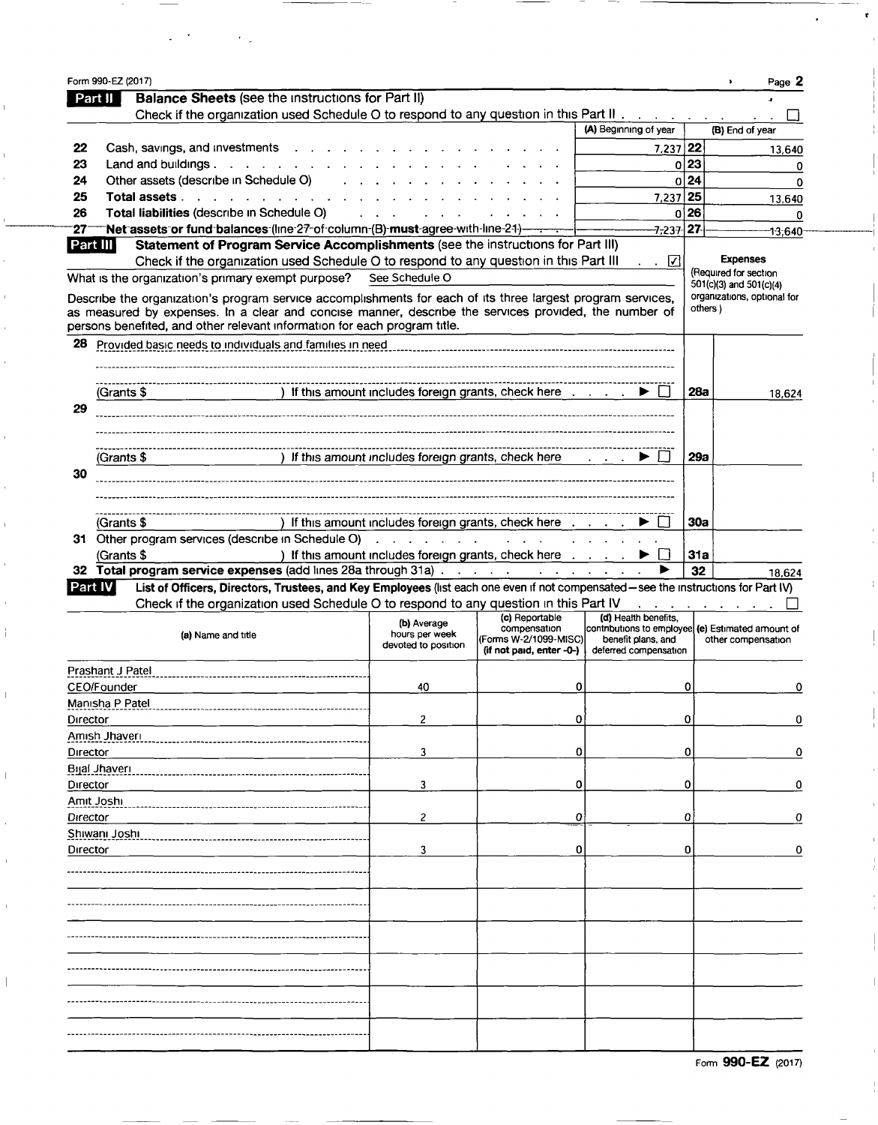| <b>Balance Sheets (see the instructions for Part II)</b><br>Part II<br>Check if the organization used Schedule O to respond to any question in this Part II                                                                                                                                                                                                                      |                                                      |                                                                   |                                                                                                  |                  | Page                                                                                               |
|----------------------------------------------------------------------------------------------------------------------------------------------------------------------------------------------------------------------------------------------------------------------------------------------------------------------------------------------------------------------------------|------------------------------------------------------|-------------------------------------------------------------------|--------------------------------------------------------------------------------------------------|------------------|----------------------------------------------------------------------------------------------------|
|                                                                                                                                                                                                                                                                                                                                                                                  |                                                      |                                                                   |                                                                                                  |                  |                                                                                                    |
|                                                                                                                                                                                                                                                                                                                                                                                  |                                                      |                                                                   |                                                                                                  |                  |                                                                                                    |
|                                                                                                                                                                                                                                                                                                                                                                                  |                                                      |                                                                   | (A) Beginning of year                                                                            |                  | (B) End of year                                                                                    |
| Cash, savings, and investments                                                                                                                                                                                                                                                                                                                                                   |                                                      |                                                                   | $7,237$ 22                                                                                       |                  | 13,640                                                                                             |
| Land and buildings. $\ldots$<br>Other assets (describe in Schedule O)                                                                                                                                                                                                                                                                                                            |                                                      |                                                                   |                                                                                                  | 0 23<br>0 24     | 0                                                                                                  |
| Total assets                                                                                                                                                                                                                                                                                                                                                                     |                                                      |                                                                   | 7,237 25                                                                                         |                  | 0                                                                                                  |
| Total liabilities (describe in Schedule O)                                                                                                                                                                                                                                                                                                                                       |                                                      |                                                                   |                                                                                                  | 0 26             | 13.640<br>0                                                                                        |
| Net assets or fund balances (line 27-of column (B) must agree with line 21)------                                                                                                                                                                                                                                                                                                |                                                      |                                                                   | -7 <del>,</del> 237 <b>27</b>                                                                    |                  | 13,640                                                                                             |
| Statement of Program Service Accomplishments (see the instructions for Part III)<br><b>Part III</b><br>Check if the organization used Schedule O to respond to any question in this Part III<br>What is the organization's primary exempt purpose? See Schedule O<br>Describe the organization's program service accomplishments for each of its three largest program services, |                                                      |                                                                   | $\sim$ $\sqrt{ }$                                                                                |                  | <b>Expenses</b><br>(Required for section<br>501(c)(3) and 501(c)(4)<br>organizations, optional for |
| as measured by expenses. In a clear and concise manner, describe the services provided, the number of<br>persons benefited, and other relevant information for each program title.                                                                                                                                                                                               |                                                      |                                                                   |                                                                                                  | others )         |                                                                                                    |
| Provided basic needs to individuals and families in need                                                                                                                                                                                                                                                                                                                         |                                                      |                                                                   |                                                                                                  |                  |                                                                                                    |
|                                                                                                                                                                                                                                                                                                                                                                                  |                                                      |                                                                   |                                                                                                  |                  |                                                                                                    |
| (Grants \$                                                                                                                                                                                                                                                                                                                                                                       |                                                      | ) If this amount includes foreign grants, check here              |                                                                                                  | 28a              | 18,624                                                                                             |
|                                                                                                                                                                                                                                                                                                                                                                                  |                                                      |                                                                   |                                                                                                  |                  |                                                                                                    |
|                                                                                                                                                                                                                                                                                                                                                                                  |                                                      |                                                                   |                                                                                                  |                  |                                                                                                    |
|                                                                                                                                                                                                                                                                                                                                                                                  |                                                      |                                                                   |                                                                                                  |                  |                                                                                                    |
| ) If this amount includes foreign grants, check here<br>(Grants \$                                                                                                                                                                                                                                                                                                               |                                                      |                                                                   | $\mathbf{r}$ and $\mathbf{r}$ and $\mathbf{r}$                                                   | 29а              |                                                                                                    |
|                                                                                                                                                                                                                                                                                                                                                                                  |                                                      |                                                                   |                                                                                                  |                  |                                                                                                    |
|                                                                                                                                                                                                                                                                                                                                                                                  |                                                      |                                                                   |                                                                                                  |                  |                                                                                                    |
|                                                                                                                                                                                                                                                                                                                                                                                  |                                                      |                                                                   |                                                                                                  |                  |                                                                                                    |
| (Grants \$                                                                                                                                                                                                                                                                                                                                                                       |                                                      | ) If this amount includes foreign grants, check here              |                                                                                                  | 30a              |                                                                                                    |
| 31 Other program services (describe in Schedule O)                                                                                                                                                                                                                                                                                                                               | and a straight and a straight and a                  |                                                                   |                                                                                                  |                  |                                                                                                    |
| (Grants \$<br>Total program service expenses (add lines 28a through 31a)                                                                                                                                                                                                                                                                                                         |                                                      | ) If this amount includes foreign grants, check here              |                                                                                                  | <b>31a</b><br>32 |                                                                                                    |
| List of Officers, Directors, Trustees, and Key Employees (list each one even if not compensated - see the instructions for Part IV)<br>Part IV                                                                                                                                                                                                                                   |                                                      |                                                                   |                                                                                                  |                  | 18.624                                                                                             |
| Check if the organization used Schedule O to respond to any question in this Part IV                                                                                                                                                                                                                                                                                             |                                                      |                                                                   |                                                                                                  |                  |                                                                                                    |
|                                                                                                                                                                                                                                                                                                                                                                                  |                                                      | (c) Reportable                                                    | (d) Health benefits.                                                                             |                  |                                                                                                    |
| (a) Name and title                                                                                                                                                                                                                                                                                                                                                               | (b) Average<br>hours per week<br>devoted to position | compensation<br>(Forms W-2/1099-MISC)<br>(if not paid, enter -0-) | contributions to employee (e) Estimated amount of<br>benefit plans, and<br>deferred compensation |                  | other compensation                                                                                 |
| Prashant J Patel                                                                                                                                                                                                                                                                                                                                                                 |                                                      |                                                                   |                                                                                                  |                  |                                                                                                    |
| CEO/Founder                                                                                                                                                                                                                                                                                                                                                                      | 40                                                   |                                                                   |                                                                                                  |                  |                                                                                                    |
| Manisha P Patel                                                                                                                                                                                                                                                                                                                                                                  |                                                      | 0                                                                 |                                                                                                  | 0                |                                                                                                    |
|                                                                                                                                                                                                                                                                                                                                                                                  |                                                      |                                                                   |                                                                                                  |                  |                                                                                                    |
| Director                                                                                                                                                                                                                                                                                                                                                                         | 2                                                    | 0                                                                 |                                                                                                  | 0                | 0<br>0                                                                                             |
| Amish Jhaveri                                                                                                                                                                                                                                                                                                                                                                    |                                                      |                                                                   |                                                                                                  |                  |                                                                                                    |
| Director                                                                                                                                                                                                                                                                                                                                                                         | 3                                                    | 0                                                                 |                                                                                                  | 0                |                                                                                                    |
| Bijai Jhaveri                                                                                                                                                                                                                                                                                                                                                                    |                                                      |                                                                   |                                                                                                  |                  |                                                                                                    |
| Director                                                                                                                                                                                                                                                                                                                                                                         | 3                                                    | 0                                                                 |                                                                                                  | 0                |                                                                                                    |
| Amit Joshi                                                                                                                                                                                                                                                                                                                                                                       |                                                      |                                                                   |                                                                                                  |                  |                                                                                                    |
| Director                                                                                                                                                                                                                                                                                                                                                                         | 2                                                    | 0                                                                 |                                                                                                  | 0                |                                                                                                    |
| Shiwani Joshi                                                                                                                                                                                                                                                                                                                                                                    |                                                      |                                                                   |                                                                                                  |                  | 0<br>0<br>o                                                                                        |
| Director                                                                                                                                                                                                                                                                                                                                                                         | 3                                                    | 0                                                                 |                                                                                                  | 0                | 0                                                                                                  |
|                                                                                                                                                                                                                                                                                                                                                                                  |                                                      |                                                                   |                                                                                                  |                  |                                                                                                    |
|                                                                                                                                                                                                                                                                                                                                                                                  |                                                      |                                                                   |                                                                                                  |                  |                                                                                                    |
|                                                                                                                                                                                                                                                                                                                                                                                  |                                                      |                                                                   |                                                                                                  |                  |                                                                                                    |
|                                                                                                                                                                                                                                                                                                                                                                                  |                                                      |                                                                   |                                                                                                  |                  |                                                                                                    |
|                                                                                                                                                                                                                                                                                                                                                                                  |                                                      |                                                                   |                                                                                                  |                  |                                                                                                    |
|                                                                                                                                                                                                                                                                                                                                                                                  |                                                      |                                                                   |                                                                                                  |                  |                                                                                                    |
|                                                                                                                                                                                                                                                                                                                                                                                  |                                                      |                                                                   |                                                                                                  |                  |                                                                                                    |
|                                                                                                                                                                                                                                                                                                                                                                                  |                                                      |                                                                   |                                                                                                  |                  |                                                                                                    |
|                                                                                                                                                                                                                                                                                                                                                                                  |                                                      |                                                                   |                                                                                                  |                  |                                                                                                    |
|                                                                                                                                                                                                                                                                                                                                                                                  |                                                      |                                                                   |                                                                                                  |                  |                                                                                                    |

 $\epsilon_{\rm{max}}$ 

 $\frac{1}{2}$ 

 $\overline{1}$ 

 $\overline{\phantom{a}}$ 

Form 990-EZ (2017)

 $\mathord{\downarrow}$ 

 $\frac{1}{4}$ 

 $\overline{\phantom{a}}$ 

 $\frac{1}{4}$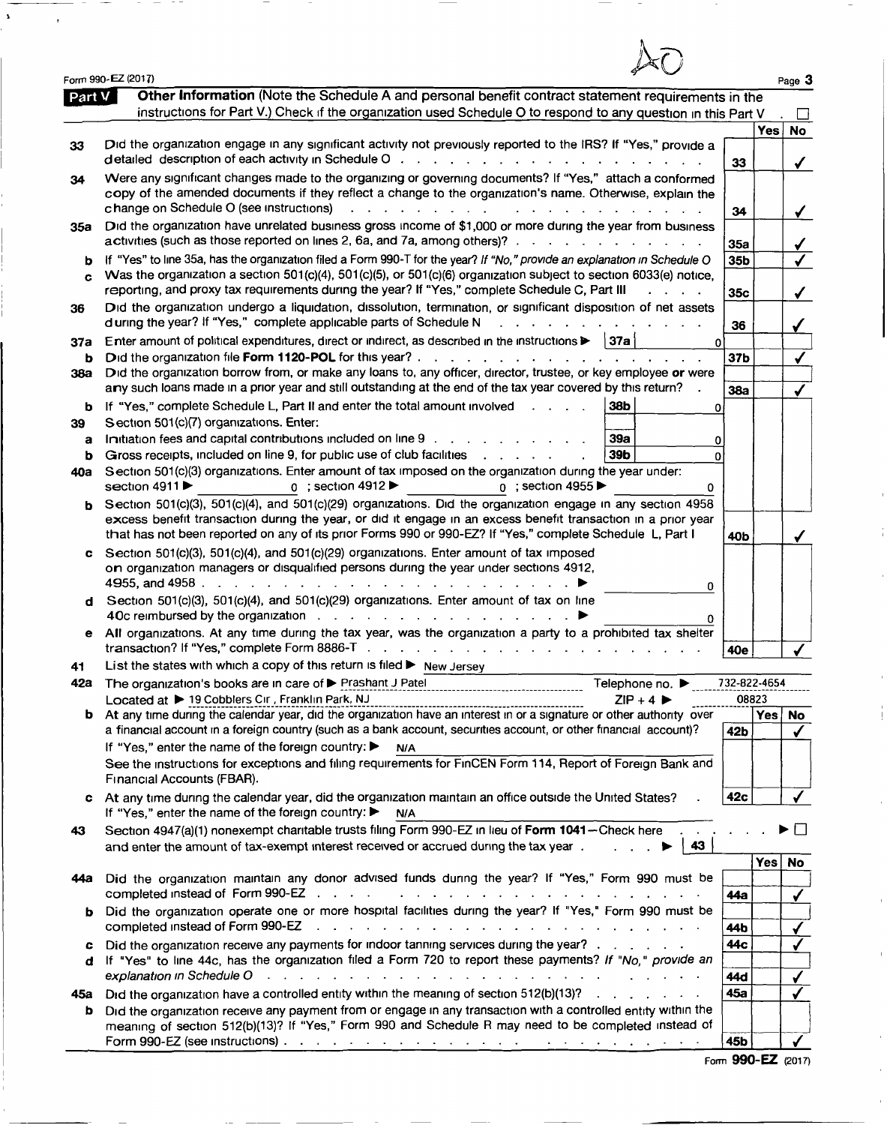|          | Form 990-EZ (2017)                                                                                                                                                                                                                                                                                                                                                                                                                                        |                               |            | Page 3       |
|----------|-----------------------------------------------------------------------------------------------------------------------------------------------------------------------------------------------------------------------------------------------------------------------------------------------------------------------------------------------------------------------------------------------------------------------------------------------------------|-------------------------------|------------|--------------|
| Part V   | Other Information (Note the Schedule A and personal benefit contract statement requirements in the<br>instructions for Part V.) Check if the organization used Schedule O to respond to any question in this Part V                                                                                                                                                                                                                                       |                               |            |              |
| 33       | Did the organization engage in any significant activity not previously reported to the IRS? If "Yes," provide a                                                                                                                                                                                                                                                                                                                                           | 33                            | Yes        | <b>No</b>    |
| 34       | Were any significant changes made to the organizing or governing documents? If "Yes," attach a conformed<br>copy of the amended documents if they reflect a change to the organization's name. Otherwise, explain the<br>change on Schedule O (see instructions)                                                                                                                                                                                          | 34                            |            | $\checkmark$ |
| 35a      | Did the organization have unrelated business gross income of \$1,000 or more during the year from business<br>activities (such as those reported on lines 2, 6a, and 7a, among others)?                                                                                                                                                                                                                                                                   | 35a                           |            |              |
| b<br>c   | If "Yes" to line 35a, has the organization filed a Form 990-T for the year? If "No," provide an explanation in Schedule O<br>Was the organization a section 501(c)(4), 501(c)(5), or 501(c)(6) organization subject to section 6033(e) notice,<br>reporting, and proxy tax requirements during the year? If "Yes," complete Schedule C, Part III                                                                                                          | 35 <sub>b</sub><br><b>35c</b> |            |              |
| 36       | Did the organization undergo a liquidation, dissolution, termination, or significant disposition of net assets<br>d uring the year? If "Yes," complete applicable parts of Schedule N<br>and a strain and a strain and                                                                                                                                                                                                                                    | 36                            |            |              |
| 37а      | <b>∣37a</b><br>Enter amount of political expenditures, direct or indirect, as described in the instructions ><br>$\mathbf 0$                                                                                                                                                                                                                                                                                                                              |                               |            |              |
| ь<br>38a | Did the organization file Form 1120-POL for this year?.<br>the contract of the contract of the contract of the<br>Did the organization borrow from, or make any loans to, any officer, director, trustee, or key employee or were                                                                                                                                                                                                                         | 37 <sub>b</sub>               |            |              |
|          | arry such loans made in a prior year and still outstanding at the end of the tax year covered by this return?                                                                                                                                                                                                                                                                                                                                             | <b>38a</b>                    |            |              |
| b        | If "Yes," complete Schedule L, Part II and enter the total amount involved<br>38b<br>o                                                                                                                                                                                                                                                                                                                                                                    |                               |            |              |
| 39       | Section 501(c)(7) organizations. Enter:                                                                                                                                                                                                                                                                                                                                                                                                                   |                               |            |              |
| a        | Initiation fees and capital contributions included on line 9<br><b>39a</b><br>0                                                                                                                                                                                                                                                                                                                                                                           |                               |            |              |
| b<br>40a | Gross receipts, included on line 9, for public use of club facilities<br>39b<br>O<br>Section 501(c)(3) organizations. Enter amount of tax imposed on the organization during the year under:<br>section 4911 ▶<br>$0$ ; section 4912<br>$0$ ; section 4955                                                                                                                                                                                                |                               |            |              |
| b        | 0<br>Section 501(c)(3), 501(c)(4), and 501(c)(29) organizations. Did the organization engage in any section 4958<br>excess benefit transaction during the year, or did it engage in an excess benefit transaction in a prior year                                                                                                                                                                                                                         |                               |            |              |
|          | that has not been reported on any of its prior Forms 990 or 990-EZ? If "Yes," complete Schedule L, Part I                                                                                                                                                                                                                                                                                                                                                 | 40b                           |            |              |
|          | Section 501(c)(3), 501(c)(4), and 501(c)(29) organizations. Enter amount of tax imposed<br>on organization managers or disqualified persons during the year under sections 4912,<br>المواطن والمناور والمناور والمناور والمناور والمناور والمناور والمناور والمناور والمناور<br>4955, and 4958.<br>0                                                                                                                                                      |                               |            |              |
| d        | Section 501(c)(3), 501(c)(4), and 501(c)(29) organizations. Enter amount of tax on line<br>40c reimbursed by the organization<br>0                                                                                                                                                                                                                                                                                                                        |                               |            |              |
|          | e All organizations. At any time during the tax year, was the organization a party to a prohibited tax shelter<br>transaction? If "Yes," complete Form 8886-T                                                                                                                                                                                                                                                                                             | 40e                           |            |              |
|          | List the states with which a copy of this return is filed $\blacktriangleright$ New Jersey                                                                                                                                                                                                                                                                                                                                                                |                               |            |              |
|          | 42a The organization's books are in care of Prashant J Patel<br>Telephone no. $\blacktriangleright$                                                                                                                                                                                                                                                                                                                                                       | 732-822-4654                  |            |              |
|          | Located at ▶ 19 Cobblers Cir, Franklin Park, NJ<br>$ZIP + 4$<br>-----------------------------------<br><b>b</b> At any time during the calendar year, did the organization have an interest in or a signature or other authority over                                                                                                                                                                                                                     | 08823                         | Yes        | <b>No</b>    |
|          | a financial account in a foreign country (such as a bank account, securities account, or other financial account)?                                                                                                                                                                                                                                                                                                                                        | 42 <sub>b</sub>               |            |              |
|          | If "Yes," enter the name of the foreign country: ▶<br>N/A<br>See the instructions for exceptions and filing requirements for FinCEN Form 114, Report of Foreign Bank and<br>Financial Accounts (FBAR).                                                                                                                                                                                                                                                    |                               |            |              |
|          | At any time during the calendar year, did the organization maintain an office outside the United States?<br>If "Yes," enter the name of the foreign country: ▶<br>N/A                                                                                                                                                                                                                                                                                     | 42c                           |            |              |
| 43       | Section 4947(a)(1) nonexempt charitable trusts filing Form 990-EZ in lieu of Form 1041-Check here<br>and enter the amount of tax-exempt interest received or accrued during the tax year.<br>43                                                                                                                                                                                                                                                           |                               |            |              |
| 44а      | Did the organization maintain any donor advised funds during the year? If "Yes," Form 990 must be                                                                                                                                                                                                                                                                                                                                                         | 44a                           | <b>Yes</b> | <b>No</b>    |
| b        | Did the organization operate one or more hospital facilities during the year? If "Yes," Form 990 must be<br>completed instead of Form 990-EZ<br>والمتعادل والوالي والمتعارف والمتعارف والمتعارف والمتعارف والمتعارف والمتعارف                                                                                                                                                                                                                             | 44 b                          |            |              |
| c        | Did the organization receive any payments for indoor tanning services during the year?                                                                                                                                                                                                                                                                                                                                                                    | 44c                           |            |              |
| đ        | If "Yes" to line 44c, has the organization filed a Form 720 to report these payments? If "No," provide an                                                                                                                                                                                                                                                                                                                                                 |                               |            |              |
|          | explanation in Schedule O<br>$\mathbf{r} = \mathbf{r} + \mathbf{r} + \mathbf{r} + \mathbf{r} + \mathbf{r} + \mathbf{r} + \mathbf{r} + \mathbf{r} + \mathbf{r} + \mathbf{r} + \mathbf{r} + \mathbf{r} + \mathbf{r} + \mathbf{r} + \mathbf{r} + \mathbf{r} + \mathbf{r} + \mathbf{r} + \mathbf{r} + \mathbf{r} + \mathbf{r} + \mathbf{r} + \mathbf{r} + \mathbf{r} + \mathbf{r} + \mathbf{r} + \mathbf{r} + \mathbf{r} + \mathbf{r} + \mathbf{r} + \mathbf$ | 44d                           |            |              |
| 45а      | Did the organization have a controlled entity within the meaning of section 512(b)(13)?                                                                                                                                                                                                                                                                                                                                                                   | 45a                           |            |              |
| Þ        | Did the organization receive any payment from or engage in any transaction with a controlled entity within the<br>meaning of section 512(b)(13)? If "Yes," Form 990 and Schedule R may need to be completed instead of                                                                                                                                                                                                                                    | 45b                           |            |              |
|          |                                                                                                                                                                                                                                                                                                                                                                                                                                                           |                               |            |              |

 $\sim$ 

--

 $\bar{\mathbf{x}}$ 

 $\tau$ 

Form 990-EZ (2017)

 $\frac{1}{2}$ 

 $\bar{\Gamma}$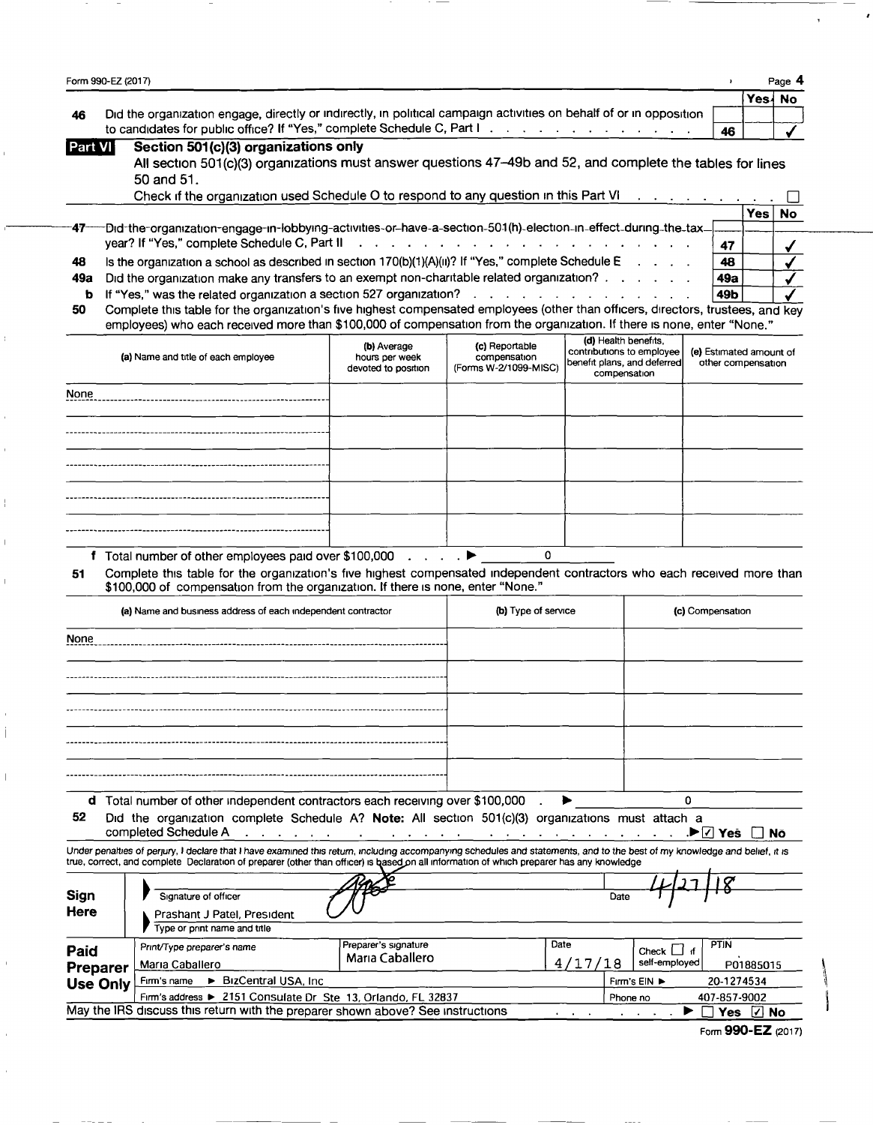|                 | Form 990-EZ (2017)                                                                                                                                                                            |                                         |                                                                                         |                                                          |                                               |           | Page 4    |
|-----------------|-----------------------------------------------------------------------------------------------------------------------------------------------------------------------------------------------|-----------------------------------------|-----------------------------------------------------------------------------------------|----------------------------------------------------------|-----------------------------------------------|-----------|-----------|
|                 |                                                                                                                                                                                               |                                         |                                                                                         |                                                          |                                               | Yes {     | <b>No</b> |
| 46              | Did the organization engage, directly or indirectly, in political campaign activities on behalf of or in opposition<br>to candidates for public office? If "Yes," complete Schedule C, Part I |                                         |                                                                                         |                                                          |                                               |           |           |
| Part VI         | Section 501(c)(3) organizations only                                                                                                                                                          |                                         |                                                                                         |                                                          | 46                                            |           |           |
|                 | All section 501(c)(3) organizations must answer questions 47-49b and 52, and complete the tables for lines                                                                                    |                                         |                                                                                         |                                                          |                                               |           |           |
|                 | 50 and 51.                                                                                                                                                                                    |                                         |                                                                                         |                                                          |                                               |           |           |
|                 | Check if the organization used Schedule O to respond to any question in this Part VI                                                                                                          |                                         |                                                                                         |                                                          | $\sim 10^{-11}$ and $\sim 10^{-11}$           |           |           |
|                 |                                                                                                                                                                                               |                                         |                                                                                         |                                                          |                                               | Yes       | No        |
|                 | -Did-the-organization-engage-in-lobbying-activities-or-have-a-section-501(h)-election-in-effect-during-the-tax-                                                                               |                                         |                                                                                         |                                                          |                                               |           |           |
|                 | year? If "Yes," complete Schedule C, Part II                                                                                                                                                  |                                         | $\mathbf{r}$ , $\mathbf{r}$ , $\mathbf{r}$ , $\mathbf{r}$ , $\mathbf{r}$ , $\mathbf{r}$ |                                                          | 47                                            |           |           |
| 48              | Is the organization a school as described in section 170(b)(1)(A)(ii)? If "Yes," complete Schedule E                                                                                          |                                         |                                                                                         |                                                          | 48                                            |           |           |
| 49а<br>b        | Did the organization make any transfers to an exempt non-charitable related organization?<br>If "Yes," was the related organization a section 527 organization?                               |                                         |                                                                                         |                                                          | 49a<br>49b                                    |           |           |
| 50              | Complete this table for the organization's five highest compensated employees (other than officers, directors, trustees, and key                                                              |                                         |                                                                                         |                                                          |                                               |           |           |
|                 | employees) who each received more than \$100,000 of compensation from the organization. If there is none, enter "None."                                                                       |                                         |                                                                                         |                                                          |                                               |           |           |
|                 |                                                                                                                                                                                               | (b) Average                             | (c) Reportable                                                                          | (d) Health benefits,                                     |                                               |           |           |
|                 | (a) Name and title of each employee                                                                                                                                                           | hours per week                          | compensation                                                                            | contributions to employee<br>benefit plans, and deferred | (e) Estimated amount of<br>other compensation |           |           |
|                 |                                                                                                                                                                                               | devoted to position                     | (Forms W-2/1099-MISC)                                                                   | compensation                                             |                                               |           |           |
| None            |                                                                                                                                                                                               |                                         |                                                                                         |                                                          |                                               |           |           |
|                 |                                                                                                                                                                                               |                                         |                                                                                         |                                                          |                                               |           |           |
|                 |                                                                                                                                                                                               |                                         |                                                                                         |                                                          |                                               |           |           |
|                 |                                                                                                                                                                                               |                                         |                                                                                         |                                                          |                                               |           |           |
|                 |                                                                                                                                                                                               |                                         |                                                                                         |                                                          |                                               |           |           |
|                 |                                                                                                                                                                                               |                                         |                                                                                         |                                                          |                                               |           |           |
|                 |                                                                                                                                                                                               |                                         |                                                                                         |                                                          |                                               |           |           |
|                 |                                                                                                                                                                                               |                                         |                                                                                         |                                                          |                                               |           |           |
|                 |                                                                                                                                                                                               |                                         |                                                                                         |                                                          |                                               |           |           |
|                 | f Total number of other employees paid over \$100,000                                                                                                                                         | $\mathcal{L}$ , and $\mathcal{L}$       | 0                                                                                       |                                                          |                                               |           |           |
| 51              | Complete this table for the organization's five highest compensated independent contractors who each received more than                                                                       |                                         |                                                                                         |                                                          |                                               |           |           |
|                 | \$100,000 of compensation from the organization. If there is none, enter "None."                                                                                                              |                                         |                                                                                         |                                                          |                                               |           |           |
|                 | (a) Name and business address of each independent contractor                                                                                                                                  |                                         | (b) Type of service                                                                     |                                                          | (c) Compensation                              |           |           |
| None            |                                                                                                                                                                                               |                                         |                                                                                         |                                                          |                                               |           |           |
|                 |                                                                                                                                                                                               |                                         |                                                                                         |                                                          |                                               |           |           |
|                 |                                                                                                                                                                                               |                                         |                                                                                         |                                                          |                                               |           |           |
|                 |                                                                                                                                                                                               |                                         |                                                                                         |                                                          |                                               |           |           |
|                 |                                                                                                                                                                                               |                                         |                                                                                         |                                                          |                                               |           |           |
|                 |                                                                                                                                                                                               |                                         |                                                                                         |                                                          |                                               |           |           |
|                 |                                                                                                                                                                                               |                                         |                                                                                         |                                                          |                                               |           |           |
|                 |                                                                                                                                                                                               |                                         |                                                                                         |                                                          |                                               |           |           |
|                 |                                                                                                                                                                                               |                                         |                                                                                         |                                                          |                                               |           |           |
|                 |                                                                                                                                                                                               |                                         |                                                                                         |                                                          |                                               |           |           |
|                 |                                                                                                                                                                                               |                                         |                                                                                         |                                                          |                                               |           |           |
|                 | d Total number of other independent contractors each receiving over \$100,000                                                                                                                 |                                         |                                                                                         |                                                          | 0                                             |           |           |
| 52              | Did the organization complete Schedule A? Note: All section 501(c)(3) organizations must attach a<br>completed Schedule A                                                                     |                                         |                                                                                         |                                                          | .▶I√l Yes                                     |           | Nō        |
|                 | Under penalties of perjury, I declare that I have examined this return, including accompanying schedules and statements, and to the best of my knowledge and belief, it is                    |                                         |                                                                                         |                                                          |                                               |           |           |
|                 | true, correct, and complete Declaration of preparer (other than officer) is based on all information of which preparer has any knowledge                                                      |                                         |                                                                                         |                                                          |                                               |           |           |
|                 |                                                                                                                                                                                               |                                         |                                                                                         |                                                          |                                               |           |           |
| Sign            | Signature of officer                                                                                                                                                                          |                                         |                                                                                         | Date                                                     |                                               |           |           |
| Here            | Prashant J Patel, President                                                                                                                                                                   |                                         |                                                                                         |                                                          |                                               |           |           |
|                 | Type or print name and title                                                                                                                                                                  |                                         |                                                                                         |                                                          |                                               |           |           |
| Paid            | Print/Type preparer's name                                                                                                                                                                    | Preparer's signature<br>Maria Caballero | Date                                                                                    | Check $\Box$                                             | <b>PTIN</b><br>া                              |           |           |
| Preparer        | Maria Caballero                                                                                                                                                                               |                                         |                                                                                         | self-employed<br>4/17/18                                 |                                               | P01885015 |           |
| <b>Use Only</b> | ▶ BizCentral USA, Inc.<br>Firm's name<br>Firm's address ▶ 2151 Consulate Dr Ste 13, Orlando, FL 32837                                                                                         |                                         |                                                                                         | Fırm's EIN ▶<br>Phone no                                 | 20-1274534<br>407-857-9002                    |           |           |

Ì.

Ì

 $\mathbf{i}$ 

 $\mathbb{I}$ 

 $\mathcal{L}$ I

Form 990-EZ (2017)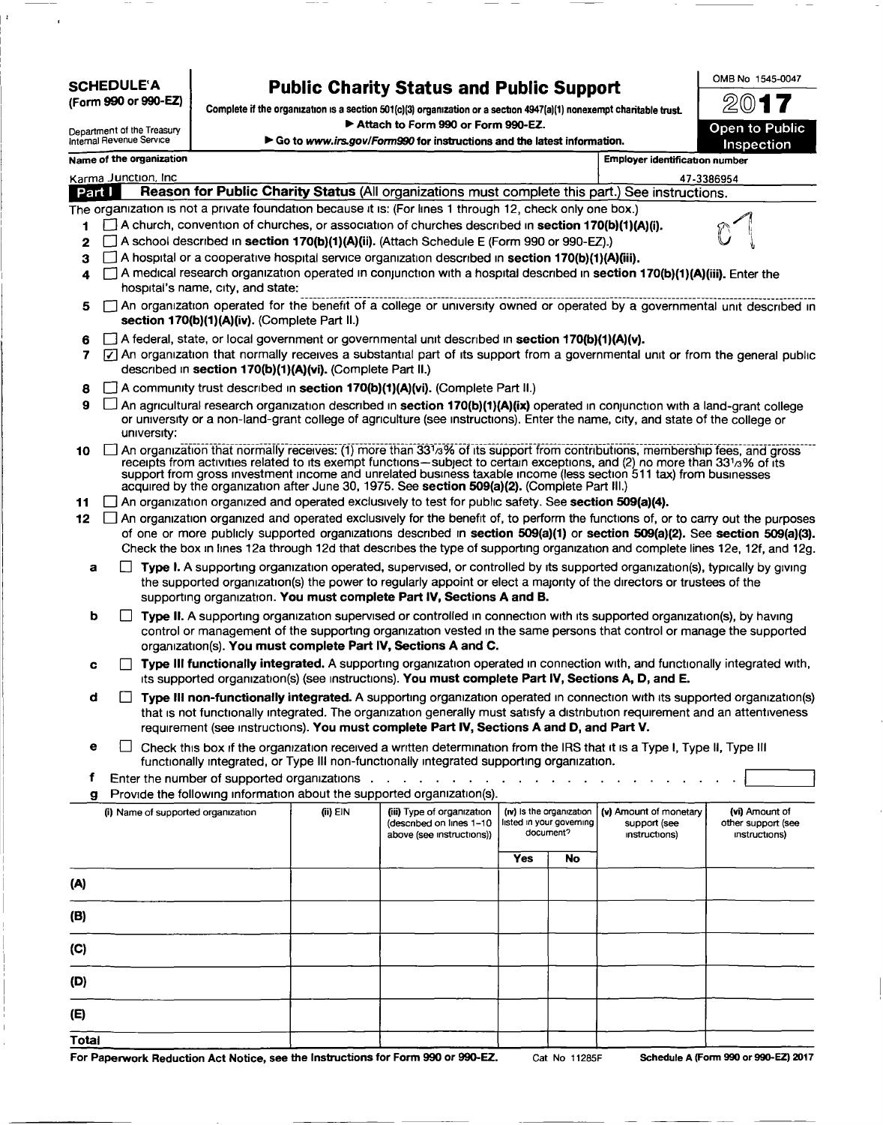## SCHEDULE'A

I'

(Form 990 or 99O-EZ)

# **Public Charity Status and Public Support**

Complete if the organization is a section 501(c)(3) organization or a section 4947(a)(1) nonexempt charitable trust. <sup>~</sup>Attach to Form 990 or Form 99O-EZ.

| Department of the Treasury<br>Internal Revenue Service | Go to www.irs.gov/Form990 for instructions and the latest information.                                    | Open to Public<br>Inspection   |      |  |
|--------------------------------------------------------|-----------------------------------------------------------------------------------------------------------|--------------------------------|------|--|
| Name of the organization                               |                                                                                                           | Employer identification number |      |  |
| Karma Junction, Inc.                                   |                                                                                                           | 47-3386954                     |      |  |
| Part I                                                 | Reason for Public Charity Status (All organizations must complete this part.) See instructions.           |                                |      |  |
|                                                        | The organization is not a private foundation because it is: (For lines 1 through 12, check only one box.) |                                |      |  |
|                                                        | A church, convention of churches, or association of churches described in section 170(b)(1)(A)(i).        |                                | نزلا |  |
|                                                        | 2 A school described in section 170(b)(1)(A)(ii). (Attach Schedule E (Form 990 or 990-EZ).)               |                                |      |  |

- $3 \Box$  A hospital or a cooperative hospital service organization described in section 170(b){1)(A)(iii).
- A medical research organization operated in conjunction with a hospital described in section 170(b)(1)(A)(iii). Enter the hospital's name, City, and state:
- $\overline{5}$   $\Box$  An organization operated for the benefit of a college-or-university-owned-or-operated by a governmental unit described in section 170(b)(1)(A)(iv). (Complete Part II.)
- 6 **A** federal, state, or local government or governmental unit described in section 170(b)(1)(A)(v).
- 7  $\sqrt{7}$  An organization that normally receives a substantial part of its support from a governmental unit or from the general public described in section 170(b)(1)(A)(vi). (Complete Part II.)
- 8 **A** community trust described in section 170(b)(1)(A)(vi). (Complete Part II.)
- 9  $\Box$  An agricultural research organization described in section 170(b)(1)(A)(ix) operated in conjunction with a land-grant college or university or a non-land-grant college of agriculture (see Instructions). Enter the name, City, and state of the college or university:
- $10$   $\Box$  An organization that normally receives: (1) more than 33 /<sub>3</sub>% of its support from contributions, membership fees, and grossreceipts from activities related to its exempt functions-subject to certain exceptions, and (2) no more than 331a% of its support from gross Investment Income and unrelated business taxable Income (less section 511 tax) from businesses acquired by the organization after June 30, 1975. See section 509(a)(2). (Complete Part III.)
- 11  $\Box$  An organization organized and operated exclusively to test for public safety. See section 509(a)(4).
- $12$   $\Box$  An organization organized and operated exclusively for the benefit of, to perform the functions of, or to carry out the purposes of one or more publicly supported organizations described in section 509(a)(1) or section 509(a)(2). See section 509(a)(3). Check the box in lines 12a through 12d that describes the type of supporting organization and complete lines 12e, 12f, and 12g.
	- **a**  $\Box$  **Type I.** A supporting organization operated, supervised, or controlled by its supported organization(s), typically by giving the supported organlzatlon(s) the power to regularly appoint or elect a majority of the directors or trustees of the supporting organization. You must complete Part IV, Sections A and B.
	- **Type II. A supporting organization supervised or controlled in connection with its supported organization(s), by having** control or management of the supporting organization vested in the same persons that control or manage the supported organization(s). You must complete Part IV, Sections A and C.
	- $c \cap$  Type III functionally integrated. A supporting organization operated in connection with, and functionally integrated with, Its supported organization(s) (see instructions). You must complete Part IV, Sections A, D, and E.
	- $\Box$  Type III non-functionally integrated. A supporting organization operated in connection with its supported organization(s) that is not functionally integrated. The organization generally must satisfy a distribution requirement and an attentiveness requirement (see instructions). You must complete Part IV, Sections A and D, and Part V.
	- $e \Box$  Check this box if the organization received a written determination from the IRS that it is a Type I, Type II, Type III functionally integrated, or Type III non-functionally integrated supporting organization.
	- f Enter the number of supported organizations . . g Provide the following information about the supported organization(s).

| (i) Name of supported organization | (ii) EIN | (iii) Type of organization<br>(described on lines 1-10<br>above (see instructions)) | (iv) is the organization<br>Isted in your governing<br>document? | (v) Amount of monetary<br>support (see<br>instructions) | (vi) Amount of<br>other support (see<br>instructions) |
|------------------------------------|----------|-------------------------------------------------------------------------------------|------------------------------------------------------------------|---------------------------------------------------------|-------------------------------------------------------|
|                                    |          |                                                                                     | Yes<br>No                                                        |                                                         |                                                       |
| (A)                                |          |                                                                                     |                                                                  |                                                         |                                                       |
| (B)                                |          |                                                                                     |                                                                  |                                                         |                                                       |
| (C)                                |          |                                                                                     |                                                                  |                                                         |                                                       |
| (D)                                |          |                                                                                     |                                                                  |                                                         |                                                       |
| (E)                                |          |                                                                                     |                                                                  |                                                         |                                                       |
| Total                              |          |                                                                                     |                                                                  |                                                         |                                                       |

For Paperwork Reduction Act Notice, see the Instructions for Form 990 or 99O-EZ. Cat No 11285F Schedule A (Form 990 or 99O-EZ) 2017

OMB No 1545-0047

2017 **7**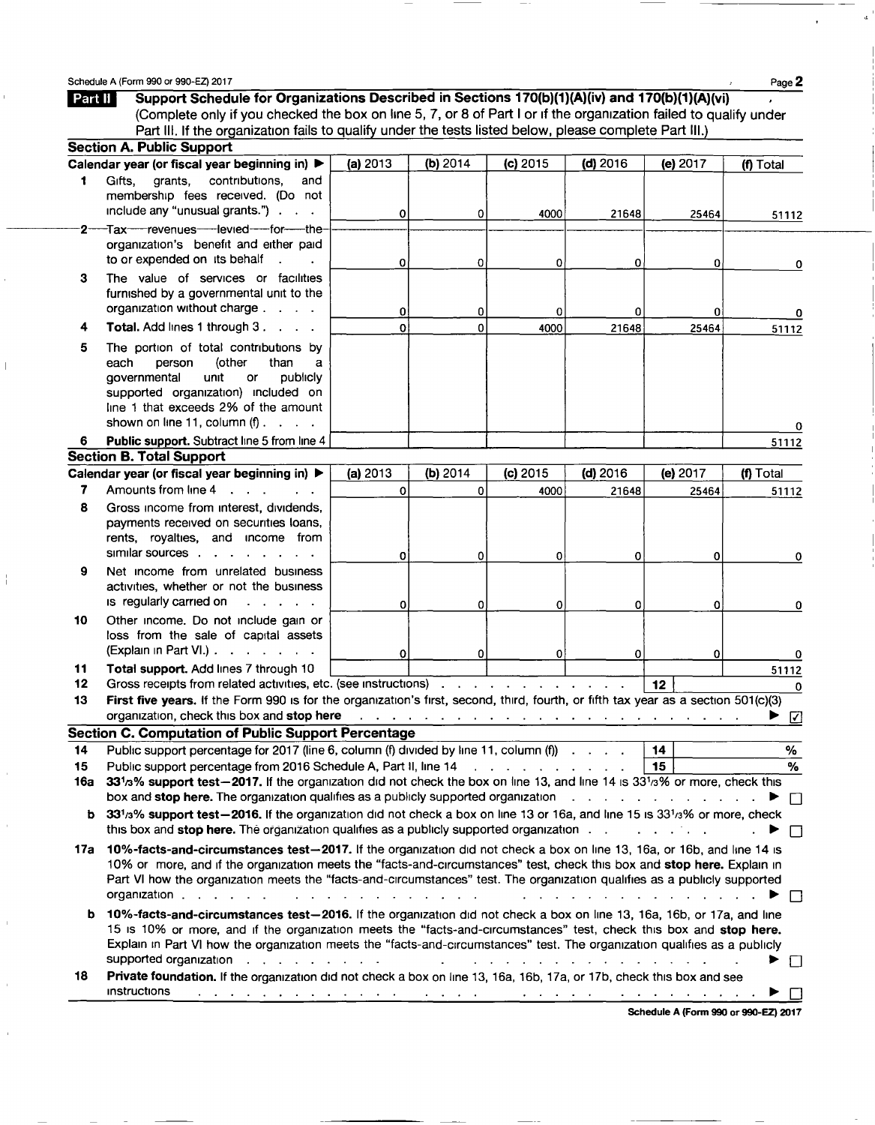Schedule A (Form 990 or 990-EZ) 2017  $P_{\text{aqe}} 2$ 

I ,

I

Part II Support Schedule for Organizations Described in Sections 170(b)(1)(A)(iv) and 170(b)(1)(A)(vi) (Complete only if you checked the box on line 5, 7, or 8 of Part I or If the organization failed to qualify under Part III. If the organization fails to qualify under the tests listed below, please complete Part III.) Section A. Public Support Calendar year (or fiscal year beginning in)  $\blacktriangleright$  (a) 2013 (b) 2014 (c) 2015 (d) 2016 (e) 2017 (f) Total 1 GiftS, grants, contributions, and membership fees received. (Do not Include any "unusual grants.") 0 0 4000 21648 25464 51112 2-Tax-revenues-levied-for-theorganization's benefit and either paid to or expended on ItS behalf 0 0 0 0 0 0 3 The value of services or facilities furnished by a governmental unit to the organization without charge . 0 0 0 0 0 0 4 Total. Add lines 1 through 3.  $\therefore$  | 0 0 4000 21648 25464 5 The portion of total contributions by<br>each person (other than a person (other than a<br>ental unit or publicly governmental unit or supported organization) included on line 1 that exceeds 2% of the amount shown on line 11, column (f)  $\begin{array}{ccc} \cdot & \cdot & \cdot & \cdot \\ \cdot & \cdot & \cdot & \cdot \end{array}$ 6 Public support. Subtract line 5 from line 4 51112 Section B. Total Support Calendar year (or fiscal year beginning in)  $\blacktriangleright$  (a) 2013 (b) 2014 (c) 2015 (d) 2016 (e) 2017 (f) Total 7 Amounts from line 4 . . . . . <u>| 0 0 0 0 4000 21648 25464 51112</u> 8 Gross income from interest, dividends, payments received on securities loans, rents, royalties, and Income from  $\begin{array}{ccccccc} \text{simular sources} & . & . & . & . & . & . & \end{array}$ 9 Net income from unrelated business activities, whether or not the business Is regularly carried on  $\begin{array}{ccc} 1 & 0 & 0 & 0 & 0 \end{array}$  (and  $\begin{array}{ccc} 0 & 0 & 0 & 0 \end{array}$ 10 Other income. Do not include gain or loss from the sale of capital assets  $\begin{array}{ccccccc} \text{(Explan in Part VI.)} & . & . & . & . & . & \begin{array}{ccc} & & & & \text{if} & & \text{if} & \text{if} & \text{if} & \text{if} & \text{if} & \text{if} & \text{if} & \text{if} & \text{if} & \text{if} & \text{if} & \text{if} & \text{if} & \text{if} & \text{if} & \text{if} & \text{if} & \text{if} & \text{if} & \text{if} & \text{if} & \text{if} & \text{if} & \text{if} & \text{if} & \text{if} & \text{if} & \text{if} & \text{if}$ 11 Total support. Add lines 7 through 10 51112<br>12 Gross receipts from related activities, etc. (see instructions)<br>12 Gross receipts from related activities, etc. (see instructions) 12 Gross receipts from related activities, etc. (see instructions)<br>13 First five vears. If the Form 990 is for the organization's first, second, third, fourth, or fifth tax vear as a section 501(c)(3) First five years. If the Form 990 is for the organization's first, second, third, fourth, or fifth tax year as a section  $501 \text{ (c)}(3)$ organization, check thiS box and stop here . . . . ~ 0 Section C. Computation of Public Support Percentage 14 Public support percentage for 2017 (line 6, column (f) divided by line 11, column (f)  $\ldots$  14 | 15 Public support percentage from 2016 Schedule A, Part II, line 14 \bbc \co. \\co. \\co. \\co. \\co. \\co. \\co. \\co. \\co. \\co. \\co. \\co. \\co. \\co. \\co. \\co. \\co. \\co. \\co. \\co. \\co. \\co. \\co. \\co. \\co. 16a 33<sup>1</sup>/3% support test-2017. If the organization did not check the box on line 13, and line 14 is 33<sup>1</sup>/3% or more, check this box and stop here. The organization qualifies as a publicly supported organization  $\ldots$ , . . . . . . . .  $\blacktriangleright \sqcap$ b *33113%* support test-2016. If the organization did not check a box on line 13 or 16a, and line 15 IS *33'/3%* or more, check this box and stop here. The organization qualifies as a publicly supported organization  $\ldots$   $\ldots$   $\ldots$ 17a 10%-facts-and-circumstances test-2017. If the organization did not check a box on line 13, 16a, or 16b, and line 14 is 10% or more, and if the organization meets the "facts-and-circumstances" test, check this box and stop here. Explain in For more, and if the organization meets the "facts-and-circumstances" test, check this box and **stop here.** Explain in Part VI how the organization meets the "facts-and-circumstances" test. The organization qualifies as a b 10%-facts-and-circumstances test-2016. If the organization did not check a box on line 13, 16a, 16b, or 17a, and line 15 is 10% or more, and if the organization meets the "facts-and-circumstances" test, check this box and stop here. Explain in Part VI how the organization meets the "facts-and-circumstances" test. The organization qualifies as a publicly supported organization . . . . . . . ~ 0 18 Private foundation. If the organization did not check a box on line 13, 16a, 16b, 17a, or 17b, check this box and see Instructions المتام المتعارف والمتعارف والمتعارف والمتعارف التاريخ والمتعارف والمتعارف والمتعارف والمتعارف والمتعارف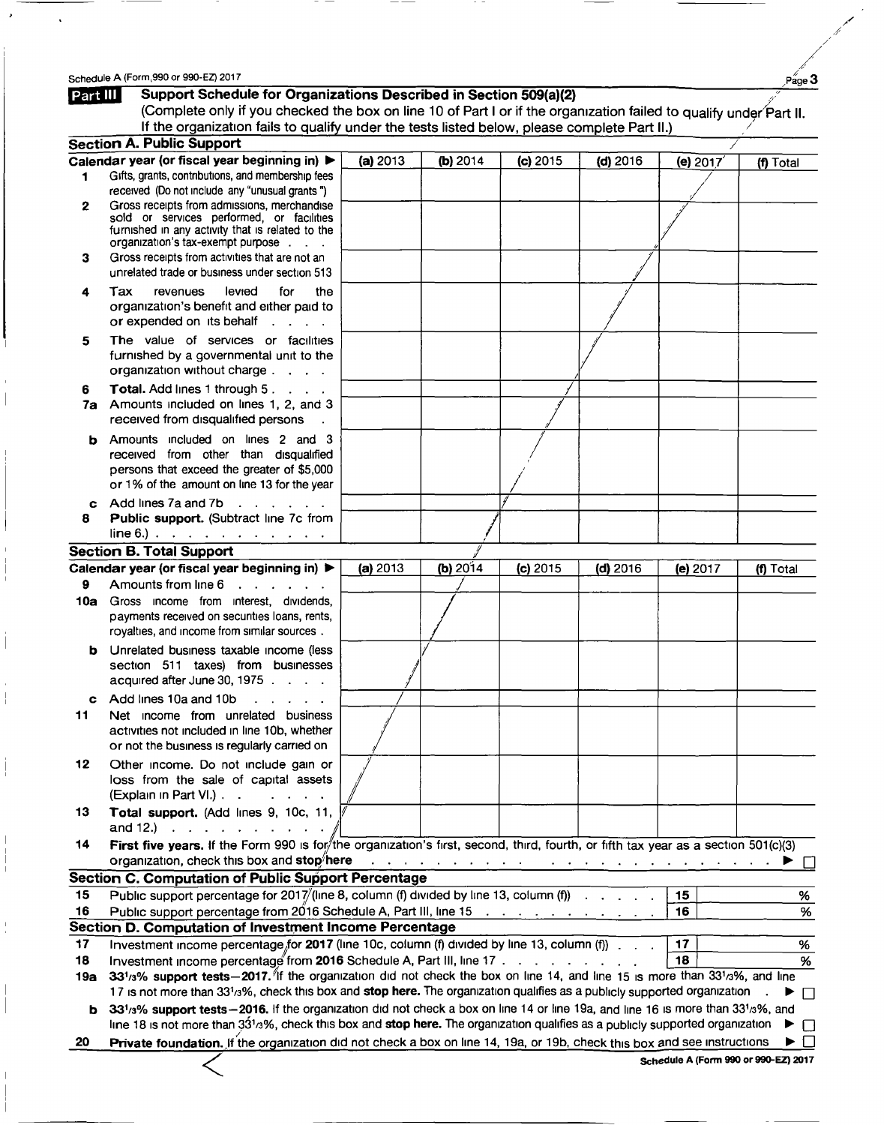$\bullet$ 

 $\ddot{\phantom{0}}$ 

/

/

 $\frac{1}{2}$ *,I* 

|          | Schedule A (Form, 990 or 990-EZ) 2017                                                                                                |          |            |            |                                                                                                   |          | Page 3                               |
|----------|--------------------------------------------------------------------------------------------------------------------------------------|----------|------------|------------|---------------------------------------------------------------------------------------------------|----------|--------------------------------------|
| Part III | Support Schedule for Organizations Described in Section 509(a)(2)                                                                    |          |            |            |                                                                                                   |          |                                      |
|          | (Complete only if you checked the box on line 10 of Part I or if the organization failed to qualify under Part II.                   |          |            |            |                                                                                                   |          |                                      |
|          | If the organization fails to qualify under the tests listed below, please complete Part II.)                                         |          |            |            |                                                                                                   |          |                                      |
|          | <b>Section A. Public Support</b>                                                                                                     |          |            |            |                                                                                                   |          |                                      |
|          | Calendar year (or fiscal year beginning in) ▶                                                                                        | (a) 2013 | (b) 2014   | $(c)$ 2015 | $(d)$ 2016                                                                                        | (e) 2017 | (f) Total                            |
| 1        | Gifts, grants, contributions, and membership fees                                                                                    |          |            |            |                                                                                                   |          |                                      |
|          | received (Do not include any "unusual grants")                                                                                       |          |            |            |                                                                                                   |          |                                      |
| 2        | Gross receipts from admissions, merchandise                                                                                          |          |            |            |                                                                                                   |          |                                      |
|          | sold or services performed, or facilities<br>furnished in any activity that is related to the                                        |          |            |            |                                                                                                   |          |                                      |
|          | organization's tax-exempt purpose                                                                                                    |          |            |            |                                                                                                   |          |                                      |
| 3        | Gross receipts from activities that are not an                                                                                       |          |            |            |                                                                                                   |          |                                      |
|          | unrelated trade or business under section 513                                                                                        |          |            |            |                                                                                                   |          |                                      |
| 4        | levied<br>revenues<br>for<br>Tax<br>the                                                                                              |          |            |            |                                                                                                   |          |                                      |
|          | organization's benefit and either paid to                                                                                            |          |            |            |                                                                                                   |          |                                      |
|          | or expended on its behalf<br>$\mathbf{L}^{\text{max}}$ , and $\mathbf{L}^{\text{max}}$                                               |          |            |            |                                                                                                   |          |                                      |
| 5        | The value of services or facilities                                                                                                  |          |            |            |                                                                                                   |          |                                      |
|          | furnished by a governmental unit to the                                                                                              |          |            |            |                                                                                                   |          |                                      |
|          | organization without charge                                                                                                          |          |            |            |                                                                                                   |          |                                      |
| 6        | <b>Total.</b> Add lines 1 through 5.                                                                                                 |          |            |            |                                                                                                   |          |                                      |
| 7a       | Amounts included on lines 1, 2, and 3                                                                                                |          |            |            |                                                                                                   |          |                                      |
|          | received from disqualified persons                                                                                                   |          |            |            |                                                                                                   |          |                                      |
|          |                                                                                                                                      |          |            |            |                                                                                                   |          |                                      |
| b.       | Amounts included on lines 2 and 3<br>received from other than disqualified                                                           |          |            |            |                                                                                                   |          |                                      |
|          | persons that exceed the greater of \$5,000                                                                                           |          |            |            |                                                                                                   |          |                                      |
|          | or 1% of the amount on line 13 for the year                                                                                          |          |            |            |                                                                                                   |          |                                      |
| c.       | Add lines 7a and 7b<br>$\mathcal{A}$ , and $\mathcal{A}$ , and $\mathcal{A}$                                                         |          |            |            |                                                                                                   |          |                                      |
| 8        | Public support. (Subtract line 7c from                                                                                               |          |            |            |                                                                                                   |          |                                      |
|          | $line 6.)$                                                                                                                           |          |            |            |                                                                                                   |          |                                      |
|          | <b>Section B. Total Support</b>                                                                                                      |          |            |            |                                                                                                   |          |                                      |
|          | Calendar year (or fiscal year beginning in) ▶                                                                                        | (a) 2013 | (b) $2014$ | (c) 2015   | $(d)$ 2016                                                                                        | (e) 2017 | (f) Total                            |
| 9        | Amounts from line 6<br>$\mathbf{r}$ , $\mathbf{r}$ , $\mathbf{r}$ , $\mathbf{r}$ , $\mathbf{r}$                                      |          |            |            |                                                                                                   |          |                                      |
| 10a      | Gross income from interest, dividends,                                                                                               |          |            |            |                                                                                                   |          |                                      |
|          | payments received on securities loans, rents,                                                                                        |          |            |            |                                                                                                   |          |                                      |
|          | royalties, and income from similar sources.                                                                                          |          |            |            |                                                                                                   |          |                                      |
|          | <b>b</b> Unrelated business taxable income (less                                                                                     |          |            |            |                                                                                                   |          |                                      |
|          | section 511 taxes) from businesses                                                                                                   |          |            |            |                                                                                                   |          |                                      |
|          | acquired after June 30, 1975                                                                                                         |          |            |            |                                                                                                   |          |                                      |
|          | Add lines 10a and 10b                                                                                                                |          |            |            |                                                                                                   |          |                                      |
| c        | Net income from unrelated business                                                                                                   |          |            |            |                                                                                                   |          |                                      |
| 11       | activities not included in line 10b, whether                                                                                         |          |            |            |                                                                                                   |          |                                      |
|          | or not the business is regularly carried on                                                                                          |          |            |            |                                                                                                   |          |                                      |
|          |                                                                                                                                      |          |            |            |                                                                                                   |          |                                      |
| 12       | Other income. Do not include gain or<br>loss from the sale of capital assets                                                         |          |            |            |                                                                                                   |          |                                      |
|          | (Explain in Part VI.)                                                                                                                |          |            |            |                                                                                                   |          |                                      |
| 13       |                                                                                                                                      |          |            |            |                                                                                                   |          |                                      |
|          | Total support. (Add lines 9, 10c, 11,<br>and 12.) $\therefore$ $\therefore$ $\therefore$ $\therefore$ $\therefore$                   |          |            |            |                                                                                                   |          |                                      |
| 14       | First five years. If the Form 990 is for/the organization's first, second, third, fourth, or fifth tax year as a section 501(c)(3)   |          |            |            |                                                                                                   |          |                                      |
|          | organization, check this box and stop here                                                                                           |          |            |            |                                                                                                   |          |                                      |
|          |                                                                                                                                      |          |            |            | المتناول والمتناول والمتناول والتوالي والمتناول والمتناول والمتناول والمتناول والمتناول والمتناول |          |                                      |
|          | Section C. Computation of Public Support Percentage                                                                                  |          |            |            |                                                                                                   |          |                                      |
| 15       | Public support percentage for 2017/(line 8, column (f) divided by line 13, column (f) $\ldots$                                       |          |            |            |                                                                                                   | 15       | %                                    |
| 16       | Public support percentage from 2016 Schedule A, Part III, line 15                                                                    |          |            |            |                                                                                                   | 16       | %                                    |
|          | Section D. Computation of Investment Income Percentage                                                                               |          |            |            |                                                                                                   |          |                                      |
| 17       | Investment income percentage for 2017 (line 10c, column (f) divided by line 13, column (f) $\cdots$                                  |          |            |            |                                                                                                   | 17       | %                                    |
| 18       | Investment income percentage from 2016 Schedule A, Part III, line 17                                                                 |          |            |            |                                                                                                   | 18       | %                                    |
| 19a      | 331/3% support tests - 2017. If the organization did not check the box on line 14, and line 15 is more than 331/3%, and line         |          |            |            |                                                                                                   |          |                                      |
|          | 17 is not more than 331/3%, check this box and stop here. The organization qualifies as a publicly supported organization.           |          |            |            |                                                                                                   |          | ▶ □                                  |
| b        | 331/3% support tests - 2016. If the organization did not check a box on line 14 or line 19a, and line 16 is more than 331/3%, and    |          |            |            |                                                                                                   |          |                                      |
|          | line 18 is not more than $33^{1/3}$ %, check this box and stop here. The organization qualifies as a publicly supported organization |          |            |            |                                                                                                   |          | $\perp$                              |
| 20       | Private foundation. If the organization did not check a box on line 14, 19a, or 19b, check this box and see instructions             |          |            |            |                                                                                                   |          |                                      |
|          |                                                                                                                                      |          |            |            |                                                                                                   |          | Schedule A (Form 990 or 990-EZ) 2017 |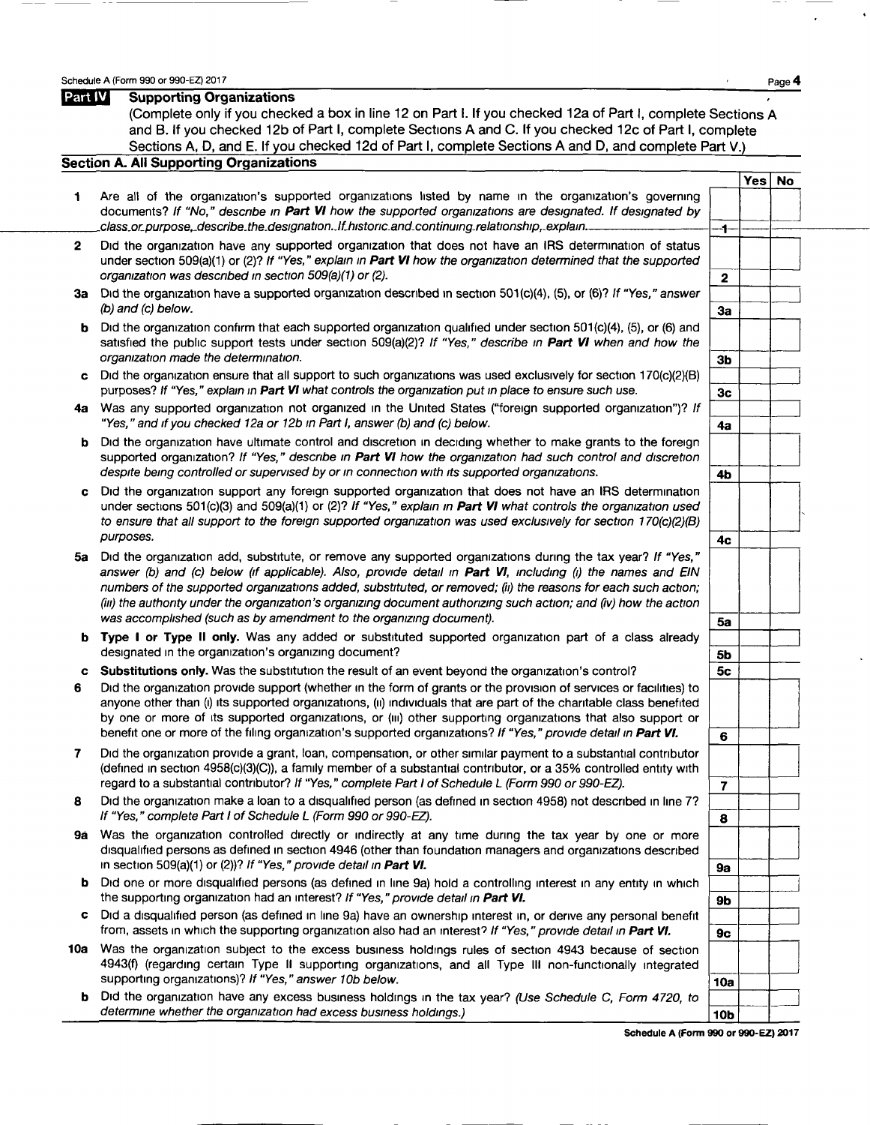Schedule A (Form 990 or 990-EZ) 2017<br> **Page 4**<br> **Page 4**<br> **Page 4** 

|    | (Complete only if you checked a box in line 12 on Part I. If you checked 12a of Part I, complete Sections A<br>and B. If you checked 12b of Part I, complete Sections A and C. If you checked 12c of Part I, complete<br>Sections A, D, and E. If you checked 12d of Part I, complete Sections A and D, and complete Part V.)                                                                                                                                                                                                                              |                         |        |  |
|----|------------------------------------------------------------------------------------------------------------------------------------------------------------------------------------------------------------------------------------------------------------------------------------------------------------------------------------------------------------------------------------------------------------------------------------------------------------------------------------------------------------------------------------------------------------|-------------------------|--------|--|
|    | Section A. All Supporting Organizations                                                                                                                                                                                                                                                                                                                                                                                                                                                                                                                    |                         |        |  |
|    |                                                                                                                                                                                                                                                                                                                                                                                                                                                                                                                                                            |                         | Yes No |  |
| 1. | Are all of the organization's supported organizations listed by name in the organization's governing<br>documents? If "No," describe in Part VI how the supported organizations are designated. If designated by<br>class.or.purpose,.describe.the.designationIf.historic.and.continuing.relationship,.explain                                                                                                                                                                                                                                             | -1-                     |        |  |
| 2  | Did the organization have any supported organization that does not have an IRS determination of status<br>under section 509(a)(1) or (2)? If "Yes," explain in Part VI how the organization determined that the supported<br>organization was described in section 509(a)(1) or (2).                                                                                                                                                                                                                                                                       | $\mathbf 2$             |        |  |
|    | 3a Did the organization have a supported organization described in section 501(c)(4), (5), or (6)? If "Yes," answer<br>(b) and (c) below.                                                                                                                                                                                                                                                                                                                                                                                                                  | 3a                      |        |  |
| b  | Did the organization confirm that each supported organization qualified under section 501(c)(4), (5), or (6) and<br>satisfied the public support tests under section 509(a)(2)? If "Yes," describe in Part VI when and how the<br>organization made the determination.                                                                                                                                                                                                                                                                                     | 3 <sub>b</sub>          |        |  |
| c  | Did the organization ensure that all support to such organizations was used exclusively for section 170(c)(2)(B)<br>purposes? If "Yes," explain in Part VI what controls the organization put in place to ensure such use.                                                                                                                                                                                                                                                                                                                                 | 3 <sub>c</sub>          |        |  |
|    | 4a Was any supported organization not organized in the United States ("foreign supported organization")? If<br>"Yes," and if you checked 12a or 12b in Part I, answer (b) and (c) below.                                                                                                                                                                                                                                                                                                                                                                   | 4a                      |        |  |
| b  | Did the organization have ultimate control and discretion in deciding whether to make grants to the foreign<br>supported organization? If "Yes," describe in Part VI how the organization had such control and discretion<br>despite being controlled or supervised by or in connection with its supported organizations.                                                                                                                                                                                                                                  |                         |        |  |
| c  | Did the organization support any foreign supported organization that does not have an IRS determination<br>under sections $501(c)(3)$ and $509(a)(1)$ or (2)? If "Yes," explain in Part VI what controls the organization used<br>to ensure that all support to the foreign supported organization was used exclusively for section 170(c)(2)(B)                                                                                                                                                                                                           | 4b                      |        |  |
| 5a | purposes.<br>Did the organization add, substitute, or remove any supported organizations during the tax year? If "Yes,"<br>answer (b) and (c) below (if applicable). Also, provide detail in <b>Part VI</b> , including (i) the names and EIN<br>numbers of the supported organizations added, substituted, or removed; (ii) the reasons for each such action;<br>(iii) the authority under the organization's organizing document authorizing such action; and (iv) how the action<br>was accomplished (such as by amendment to the organizing document). | 4с<br>5a                |        |  |
| b  | Type I or Type II only. Was any added or substituted supported organization part of a class already<br>designated in the organization's organizing document?                                                                                                                                                                                                                                                                                                                                                                                               | 5b                      |        |  |
| c  | Substitutions only. Was the substitution the result of an event beyond the organization's control?                                                                                                                                                                                                                                                                                                                                                                                                                                                         | 5c                      |        |  |
| 6  | Did the organization provide support (whether in the form of grants or the provision of services or facilities) to<br>anyone other than (i) its supported organizations, (ii) individuals that are part of the charitable class benefited<br>by one or more of its supported organizations, or (iii) other supporting organizations that also support or<br>benefit one or more of the filing organization's supported organizations? If "Yes," provide detail in Part VI.                                                                                 | 6                       |        |  |
| 7  | Did the organization provide a grant, loan, compensation, or other similar payment to a substantial contributor<br>(defined in section 4958(c)(3)(C)), a family member of a substantial contributor, or a 35% controlled entity with<br>regard to a substantial contributor? If "Yes," complete Part I of Schedule L (Form 990 or 990-EZ).                                                                                                                                                                                                                 | $\overline{\mathbf{r}}$ |        |  |
| 8  | Did the organization make a loan to a disqualified person (as defined in section 4958) not described in line 7?<br>If "Yes," complete Part I of Schedule L (Form 990 or 990-EZ).                                                                                                                                                                                                                                                                                                                                                                           | 8                       |        |  |
| 9ā | Was the organization controlled directly or indirectly at any time during the tax year by one or more<br>disqualified persons as defined in section 4946 (other than foundation managers and organizations described<br>in section 509(a)(1) or (2))? If "Yes," provide detail in Part VI.                                                                                                                                                                                                                                                                 | 9a                      |        |  |
| b  | Did one or more disqualified persons (as defined in line 9a) hold a controlling interest in any entity in which<br>the supporting organization had an interest? If "Yes," provide detail in Part VI.                                                                                                                                                                                                                                                                                                                                                       | 9 <b>b</b>              |        |  |
| c  | Did a disqualified person (as defined in line 9a) have an ownership interest in, or derive any personal benefit<br>from, assets in which the supporting organization also had an interest? If "Yes," provide detail in Part VI.                                                                                                                                                                                                                                                                                                                            | 9с                      |        |  |
|    | 10a Was the organization subject to the excess business holdings rules of section 4943 because of section<br>4943(f) (regarding certain Type II supporting organizations, and all Type III non-functionally integrated<br>supporting organizations)? If "Yes," answer 10b below.                                                                                                                                                                                                                                                                           | <b>10a</b>              |        |  |
| ь  | Did the organization have any excess business holdings in the tax year? (Use Schedule C, Form 4720, to<br>determine whether the organization had excess business holdings.)                                                                                                                                                                                                                                                                                                                                                                                | 10 <sub>b</sub>         |        |  |
|    | Schedule A (Form 990 or 990-EZ) 2017                                                                                                                                                                                                                                                                                                                                                                                                                                                                                                                       |                         |        |  |

 $\bar{\textbf{t}}$ 

 $\ddot{\phantom{0}}$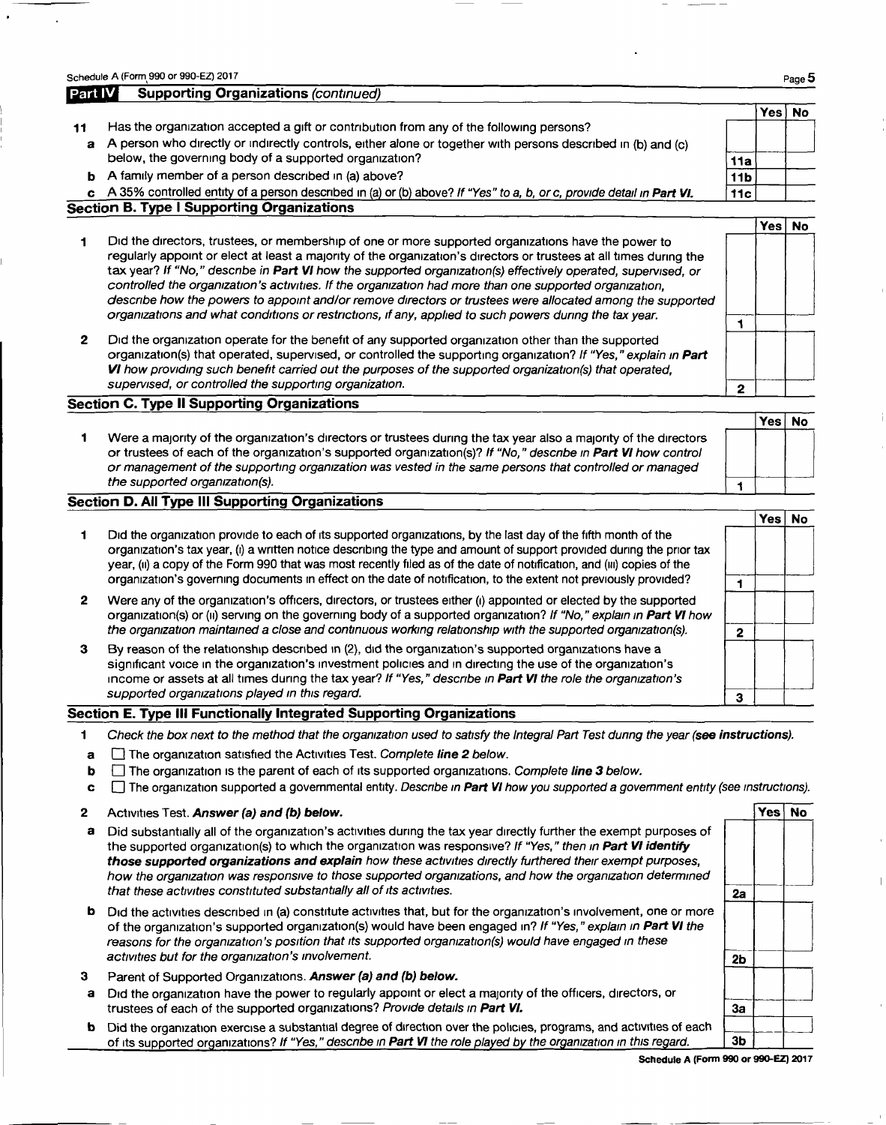|              | Schedule A (Form 990 or 990-EZ) 2017                                                                                                                                                                                                                                                                                                                                                                                                                                                                                                                                                                                                                                         |                 |        | Page 5    |
|--------------|------------------------------------------------------------------------------------------------------------------------------------------------------------------------------------------------------------------------------------------------------------------------------------------------------------------------------------------------------------------------------------------------------------------------------------------------------------------------------------------------------------------------------------------------------------------------------------------------------------------------------------------------------------------------------|-----------------|--------|-----------|
| Part IV      | <b>Supporting Organizations (continued)</b>                                                                                                                                                                                                                                                                                                                                                                                                                                                                                                                                                                                                                                  |                 |        |           |
|              |                                                                                                                                                                                                                                                                                                                                                                                                                                                                                                                                                                                                                                                                              |                 | Yes No |           |
| 11           | Has the organization accepted a gift or contribution from any of the following persons?                                                                                                                                                                                                                                                                                                                                                                                                                                                                                                                                                                                      |                 |        |           |
| a            | A person who directly or indirectly controls, either alone or together with persons described in (b) and (c)                                                                                                                                                                                                                                                                                                                                                                                                                                                                                                                                                                 |                 |        |           |
|              | below, the governing body of a supported organization?                                                                                                                                                                                                                                                                                                                                                                                                                                                                                                                                                                                                                       | 11a             |        |           |
| ь            | A family member of a person described in (a) above?                                                                                                                                                                                                                                                                                                                                                                                                                                                                                                                                                                                                                          | 11 <sub>b</sub> |        |           |
| c.           | A 35% controlled entity of a person described in (a) or (b) above? If "Yes" to a, b, or c, provide detail in Part VI.                                                                                                                                                                                                                                                                                                                                                                                                                                                                                                                                                        | 11c             |        |           |
|              | Section B. Type I Supporting Organizations                                                                                                                                                                                                                                                                                                                                                                                                                                                                                                                                                                                                                                   |                 |        |           |
|              |                                                                                                                                                                                                                                                                                                                                                                                                                                                                                                                                                                                                                                                                              |                 | Yesl   | <b>No</b> |
|              | Did the directors, trustees, or membership of one or more supported organizations have the power to<br>regularly appoint or elect at least a majority of the organization's directors or trustees at all times during the<br>tax year? If "No," describe in Part VI how the supported organization(s) effectively operated, supervised, or<br>controlled the organization's activities. If the organization had more than one supported organization,<br>describe how the powers to appoint and/or remove directors or trustees were allocated among the supported<br>organizations and what conditions or restrictions, if any, applied to such powers during the tax year. |                 |        |           |
|              |                                                                                                                                                                                                                                                                                                                                                                                                                                                                                                                                                                                                                                                                              |                 |        |           |
| $\mathbf{2}$ | Did the organization operate for the benefit of any supported organization other than the supported<br>organization(s) that operated, supervised, or controlled the supporting organization? If "Yes," explain in Part<br>VI how providing such benefit carried out the purposes of the supported organization(s) that operated,                                                                                                                                                                                                                                                                                                                                             |                 |        |           |
|              | supervised, or controlled the supporting organization.                                                                                                                                                                                                                                                                                                                                                                                                                                                                                                                                                                                                                       | 2               |        |           |

### Section C. Type II Supporting Organizations

1 Were a majority of the organization's directors or trustees during the tax year also a majority of the directors or trustees of each of the organization's supported organization(s)? If "No," describe in Part VI how control or management of the supportmg orgamzation was vested in the same persons that controlled or managed the supported organization(s).  $\frac{1}{1}$ 

### Section D. All Type III Supporting Organizations

|    |                                                                                                                                                                                                                                                                                                                                                                                                                                                                                       |   | Tes i | NO |
|----|---------------------------------------------------------------------------------------------------------------------------------------------------------------------------------------------------------------------------------------------------------------------------------------------------------------------------------------------------------------------------------------------------------------------------------------------------------------------------------------|---|-------|----|
|    | Did the organization provide to each of its supported organizations, by the last day of the fifth month of the<br>organization's tax year, (i) a written notice describing the type and amount of support provided during the prior tax<br>year, (ii) a copy of the Form 990 that was most recently filed as of the date of notification, and (iii) copies of the<br>organization's governing documents in effect on the date of notification, to the extent not previously provided? |   |       |    |
| 2  | Were any of the organization's officers, directors, or trustees either (i) appointed or elected by the supported<br>organization(s) or (ii) serving on the governing body of a supported organization? If "No," explain in Part VI how<br>the organization maintained a close and continuous working relationship with the supported organization(s).                                                                                                                                 | 2 |       |    |
| З. | By reason of the relationship described in (2), did the organization's supported organizations have a<br>significant voice in the organization's investment policies and in directing the use of the organization's<br>income or assets at all times during the tax year? If "Yes," describe in Part VI the role the organization's<br>supported organizations played in this regard.                                                                                                 |   |       |    |
|    |                                                                                                                                                                                                                                                                                                                                                                                                                                                                                       | з |       |    |

### Section E. Type III Functionally Integrated Supporting Organizations

1 Check the box next to the method that the organization used to satisfy the Integral Part Test dunng the year (see instructions).

- $a \Box$  The organization satisfied the Activities Test. Complete line 2 below.
- **b**  $\Box$  The organization is the parent of each of its supported organizations. Complete line 3 below.
- **c**  $\Box$  The organization supported a governmental entity. Describe in Part VI how you supported a government entity (see instructions).

#### 2 Activities Test. Answer (a) and (b) below. Yes No which is a set of the No which is no vertex  $\sim$  Yes No which is no vertex  $\sim$  Yes No which is no vertex of the No which is no vertex of the No which is no vertex of the

- a Did substantially all of the organization's activities during the tax year directly further the exempt purposes of the supported organization(s) to which the organization was responsive? If "Yes," then in **Part VI identi** those supported organizations and explain how these activities directly furthered their exempt purposes, how the organization was responsive to those supported organizations, and how the organization determined that these activities constituted substantially all of its activities.
- **b** Did the activities described in (a) constitute activities that, but for the organization's involvement, one or more of the organization's supported organization(s) would have been engaged in? If "Yes," explain in Part VI the reasons for the organization's position that its supported organization(s) would have engaged in these  $\overline{\phantom{a}}$  2b
- 3 Parent of Supported Organizations. Answer (a) and (b) below.
- a trustees of each of the supported organizations? Provide details in Part VI. Did the organization have the power to regularly appoint or elect a majority of the officers, directors, or
- trustees of each of the supported organizations? Provide details in Part VI.<br>
b Did the organization exercise a substantial degree of direction over the policies, programs, and activities of each<br>
of its supported organiza

3a ~

Yes No

 $\sqrt{2}$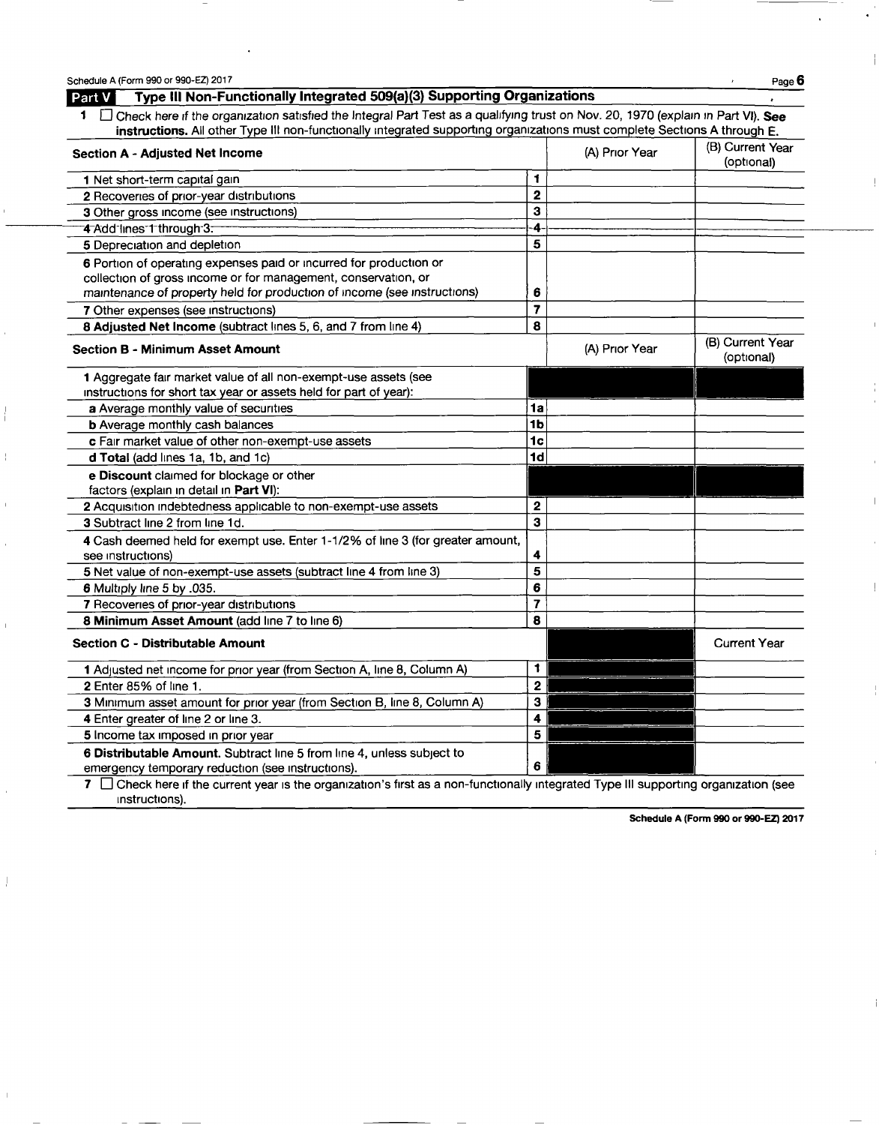| Schedule A (Form 990 or 990-EZ) 2017                                                                                                                                                                                                                                   |                                |                | Page 6<br>$\mathcal{E}$        |
|------------------------------------------------------------------------------------------------------------------------------------------------------------------------------------------------------------------------------------------------------------------------|--------------------------------|----------------|--------------------------------|
| Type III Non-Functionally Integrated 509(a)(3) Supporting Organizations<br>Part V                                                                                                                                                                                      |                                |                |                                |
| 1 <b>Check here if the organization satisfied the Integral Part Test as a qualifying trust on Nov. 20, 1970 (explain in Part VI). See</b><br>instructions. All other Type III non-functionally integrated supporting organizations must complete Sections A through E. |                                |                |                                |
| <b>Section A - Adjusted Net Income</b>                                                                                                                                                                                                                                 | (B) Current Year<br>(optional) |                |                                |
| 1 Net short-term capital gain                                                                                                                                                                                                                                          | $\blacksquare$                 |                |                                |
| 2 Recoveries of prior-year distributions                                                                                                                                                                                                                               | $\overline{\mathbf{2}}$        |                |                                |
| 3 Other gross income (see instructions)                                                                                                                                                                                                                                | 3                              |                |                                |
| 4 Add lines 1 through 3.                                                                                                                                                                                                                                               | 4                              |                |                                |
| 5 Depreciation and depletion                                                                                                                                                                                                                                           | 5                              |                |                                |
| 6 Portion of operating expenses paid or incurred for production or<br>collection of gross income or for management, conservation, or<br>maintenance of property held for production of income (see instructions)                                                       | 6                              |                |                                |
| 7 Other expenses (see instructions)                                                                                                                                                                                                                                    | $\overline{\mathbf{z}}$        |                |                                |
| 8 Adjusted Net Income (subtract lines 5, 6, and 7 from line 4)                                                                                                                                                                                                         | 8                              |                |                                |
| <b>Section B - Minimum Asset Amount</b>                                                                                                                                                                                                                                |                                | (A) Prior Year | (B) Current Year<br>(optional) |
| 1 Aggregate fair market value of all non-exempt-use assets (see<br>instructions for short tax year or assets held for part of year):                                                                                                                                   |                                |                |                                |
| a Average monthly value of securities                                                                                                                                                                                                                                  | 1a                             |                |                                |
| <b>b</b> Average monthly cash balances                                                                                                                                                                                                                                 | 1 <sub>b</sub>                 |                |                                |
| c Fair market value of other non-exempt-use assets                                                                                                                                                                                                                     | 1 <sub>c</sub>                 |                |                                |
| d Total (add lines 1a, 1b, and 1c)                                                                                                                                                                                                                                     | 1 <sub>d</sub>                 |                |                                |
| e Discount claimed for blockage or other<br>factors (explain in detail in Part VI):                                                                                                                                                                                    |                                |                |                                |
| 2 Acquisition indebtedness applicable to non-exempt-use assets                                                                                                                                                                                                         | $\mathbf{2}$                   |                |                                |
| 3 Subtract line 2 from line 1d.                                                                                                                                                                                                                                        | $\overline{\mathbf{3}}$        |                |                                |
| 4 Cash deemed held for exempt use. Enter 1-1/2% of line 3 (for greater amount,                                                                                                                                                                                         |                                |                |                                |
| see instructions)                                                                                                                                                                                                                                                      | 4                              |                |                                |
| 5 Net value of non-exempt-use assets (subtract line 4 from line 3)                                                                                                                                                                                                     | 5                              |                |                                |
| 6 Multiply line 5 by .035.                                                                                                                                                                                                                                             | 6                              |                |                                |
| 7 Recoveries of prior-year distributions                                                                                                                                                                                                                               | $\overline{ }$                 |                |                                |
| 8 Minimum Asset Amount (add line 7 to line 6)                                                                                                                                                                                                                          | 8                              |                |                                |
| <b>Section C - Distributable Amount</b>                                                                                                                                                                                                                                |                                |                | <b>Current Year</b>            |
| 1 Adjusted net income for prior year (from Section A, line 8, Column A)                                                                                                                                                                                                | 1                              |                |                                |
| <b>2</b> Enter 85% of line 1.                                                                                                                                                                                                                                          | $\overline{\mathbf{2}}$        |                |                                |
| 3 Minimum asset amount for prior year (from Section B, line 8, Column A)                                                                                                                                                                                               | 3                              |                |                                |
| 4 Enter greater of line 2 or line 3.                                                                                                                                                                                                                                   | 4                              |                |                                |
| 5 Income tax imposed in prior year                                                                                                                                                                                                                                     | 5                              |                |                                |
| 6 Distributable Amount. Subtract line 5 from line 4, unless subject to                                                                                                                                                                                                 |                                |                |                                |
| emergency temporary reduction (see instructions).                                                                                                                                                                                                                      | 6                              |                |                                |
| 7 $\Box$ Check here if the current year is the organization's first as a non-functionally integrated Type III supporting organization (see                                                                                                                             |                                |                |                                |

instructions).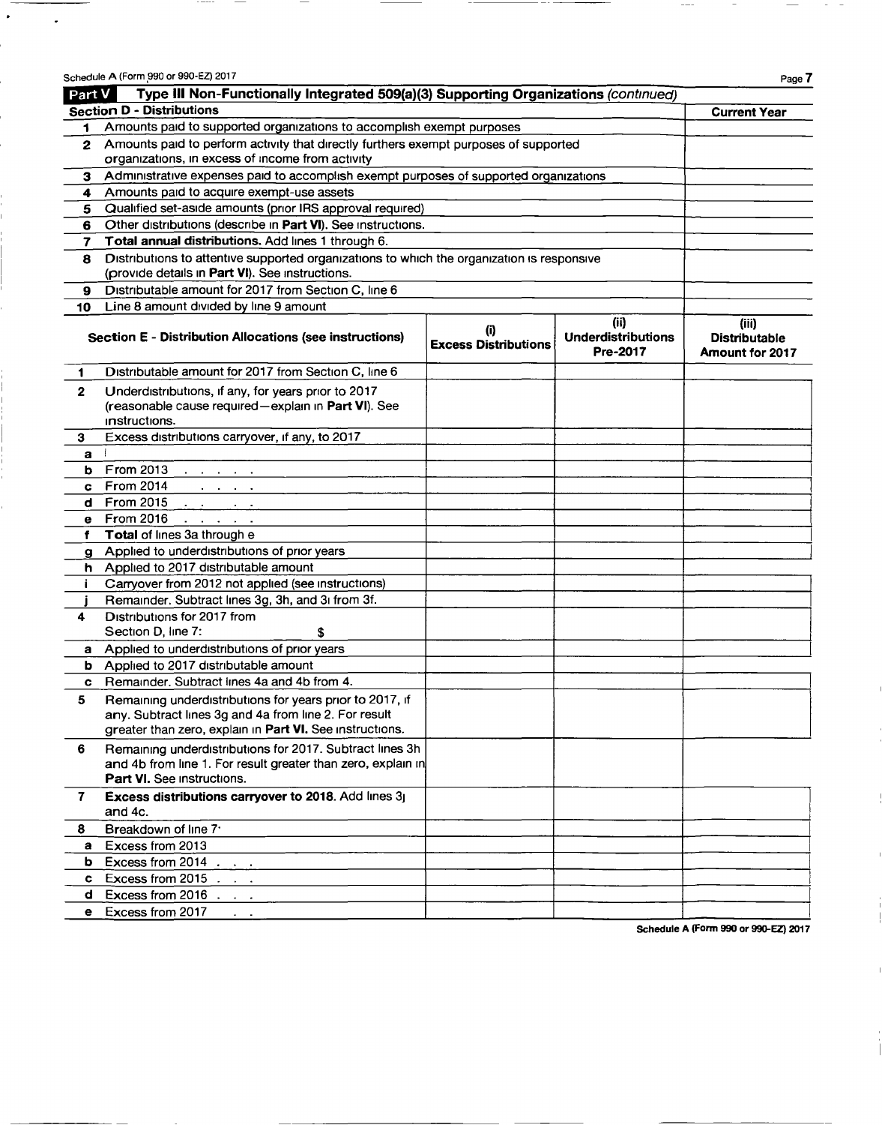|              | Schedule A (Form 990 or 990-EZ) 2017                                                                                                                                          |                                    |                                               | Page 7                                           |  |  |
|--------------|-------------------------------------------------------------------------------------------------------------------------------------------------------------------------------|------------------------------------|-----------------------------------------------|--------------------------------------------------|--|--|
| Part V       | Type III Non-Functionally Integrated 509(a)(3) Supporting Organizations (continued)                                                                                           |                                    |                                               |                                                  |  |  |
|              | <b>Section D - Distributions</b>                                                                                                                                              |                                    |                                               | <b>Current Year</b>                              |  |  |
| 1            | Amounts paid to supported organizations to accomplish exempt purposes                                                                                                         |                                    |                                               |                                                  |  |  |
| $\mathbf{2}$ | Amounts paid to perform activity that directly furthers exempt purposes of supported                                                                                          |                                    |                                               |                                                  |  |  |
|              | organizations, in excess of income from activity                                                                                                                              |                                    |                                               |                                                  |  |  |
| 3            | Administrative expenses paid to accomplish exempt purposes of supported organizations                                                                                         |                                    |                                               |                                                  |  |  |
| 4            | Amounts paid to acquire exempt-use assets                                                                                                                                     |                                    |                                               |                                                  |  |  |
| 5            | Qualified set-aside amounts (prior IRS approval required)                                                                                                                     |                                    |                                               |                                                  |  |  |
| 6            | Other distributions (describe in Part VI). See instructions.                                                                                                                  |                                    |                                               |                                                  |  |  |
| 7            | Total annual distributions. Add lines 1 through 6.                                                                                                                            |                                    |                                               |                                                  |  |  |
| 8            | Distributions to attentive supported organizations to which the organization is responsive                                                                                    |                                    |                                               |                                                  |  |  |
|              | (provide details in Part VI). See instructions.                                                                                                                               |                                    |                                               |                                                  |  |  |
| 9            | Distributable amount for 2017 from Section C, line 6                                                                                                                          |                                    |                                               |                                                  |  |  |
| 10           | Line 8 amount divided by line 9 amount                                                                                                                                        |                                    |                                               |                                                  |  |  |
|              | <b>Section E - Distribution Allocations (see instructions)</b>                                                                                                                | (i)<br><b>Excess Distributions</b> | (ii)<br><b>Underdistributions</b><br>Pre-2017 | (iii)<br><b>Distributable</b><br>Amount for 2017 |  |  |
| 1            | Distributable amount for 2017 from Section C, line 6                                                                                                                          |                                    |                                               |                                                  |  |  |
| $\mathbf{2}$ | Underdistributions, if any, for years prior to 2017<br>(reasonable cause required-explain in Part VI). See<br>instructions.                                                   |                                    |                                               |                                                  |  |  |
| 3            | Excess distributions carryover, if any, to 2017                                                                                                                               |                                    |                                               |                                                  |  |  |
| a            |                                                                                                                                                                               |                                    |                                               |                                                  |  |  |
| b            | From 2013<br>the contract of the con-                                                                                                                                         |                                    |                                               |                                                  |  |  |
| c            | <b>From 2014</b><br>and the company                                                                                                                                           |                                    |                                               |                                                  |  |  |
| d            | <b>From 2015</b><br><b>Contract Contract</b>                                                                                                                                  |                                    |                                               |                                                  |  |  |
| е            | <b>From 2016</b><br>the company of the company of                                                                                                                             |                                    |                                               |                                                  |  |  |
| f            | Total of lines 3a through e                                                                                                                                                   |                                    |                                               |                                                  |  |  |
| g            | Applied to underdistributions of prior years                                                                                                                                  |                                    |                                               |                                                  |  |  |
|              | h Applied to 2017 distributable amount                                                                                                                                        |                                    |                                               |                                                  |  |  |
|              | Carryover from 2012 not applied (see instructions)                                                                                                                            |                                    |                                               |                                                  |  |  |
|              | Remainder. Subtract lines 3g, 3h, and 3i from 3f.                                                                                                                             |                                    |                                               |                                                  |  |  |
| 4            | Distributions for 2017 from                                                                                                                                                   |                                    |                                               |                                                  |  |  |
|              | Section D, line 7:<br>\$                                                                                                                                                      |                                    |                                               |                                                  |  |  |
| a            | Applied to underdistributions of prior years<br>Applied to 2017 distributable amount                                                                                          |                                    |                                               |                                                  |  |  |
| b            | Remainder. Subtract lines 4a and 4b from 4.                                                                                                                                   |                                    |                                               |                                                  |  |  |
| c            |                                                                                                                                                                               |                                    |                                               |                                                  |  |  |
| 5            | Remaining underdistributions for years prior to 2017, if<br>any. Subtract lines 3g and 4a from line 2. For result<br>greater than zero, explain in Part VI. See instructions. |                                    |                                               |                                                  |  |  |
| 6            | Remaining underdistributions for 2017. Subtract lines 3h<br>and 4b from line 1. For result greater than zero, explain in<br>Part VI. See instructions.                        |                                    |                                               |                                                  |  |  |
| 7            | Excess distributions carryover to 2018. Add lines 3j<br>and 4c.                                                                                                               |                                    |                                               |                                                  |  |  |
| 8            | Breakdown of line 7 <sup>-</sup>                                                                                                                                              |                                    |                                               |                                                  |  |  |
| a            | Excess from 2013                                                                                                                                                              |                                    |                                               |                                                  |  |  |
| b            | Excess from 2014                                                                                                                                                              |                                    |                                               |                                                  |  |  |
| c.           | Excess from $2015$ $\ldots$                                                                                                                                                   |                                    |                                               |                                                  |  |  |
| d            | Excess from $2016$ $\ldots$                                                                                                                                                   |                                    |                                               |                                                  |  |  |
| е            | Excess from 2017                                                                                                                                                              |                                    |                                               |                                                  |  |  |
|              |                                                                                                                                                                               |                                    |                                               | Schodule & (Farm 990 or 990-FZ) 2017             |  |  |

 $\hat{\pmb{z}}$ 

 $\tilde{\mathbf{z}}$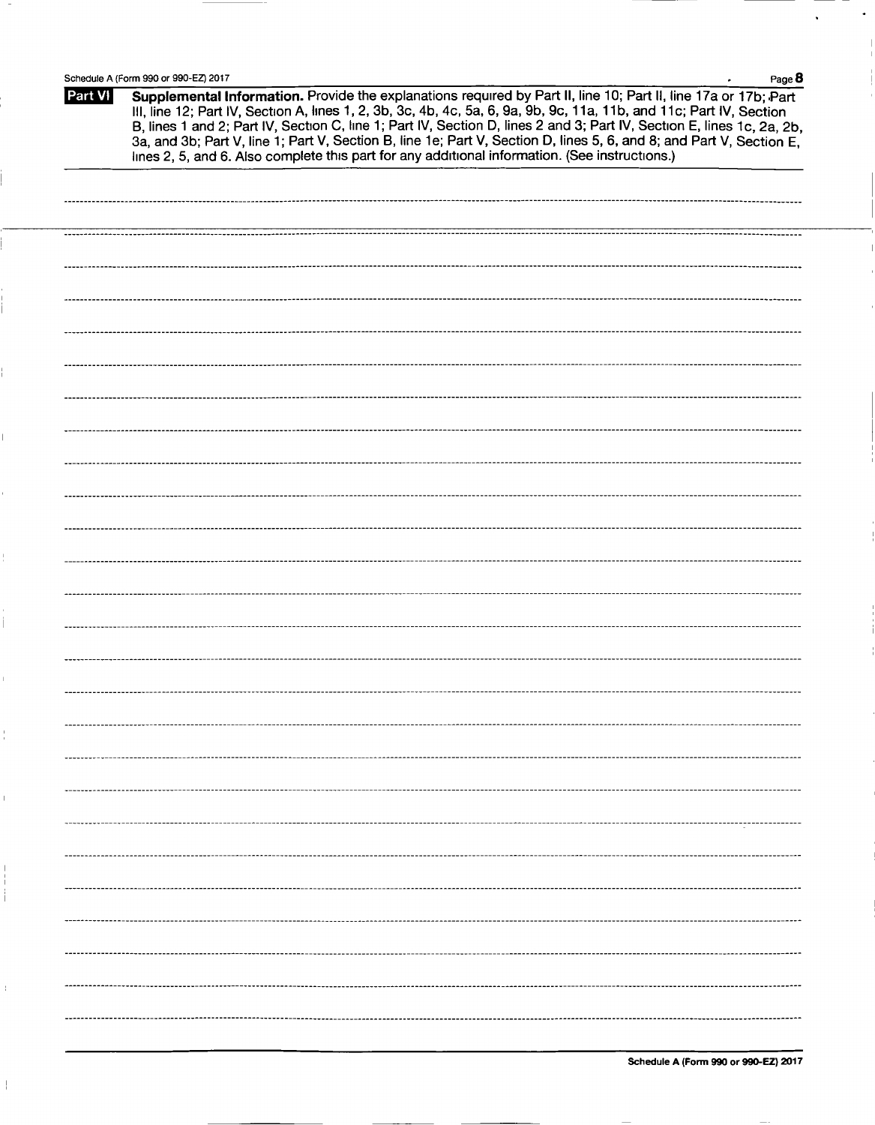J.

 $\overline{\phantom{a}}$ 

| Schedule A (Form 990 or 990-EZ) 2017<br>Page 8 |                                                                                                                                                                                                                                                                                                                                                                                                                                                                                                                                                                                             |  |  |  |  |
|------------------------------------------------|---------------------------------------------------------------------------------------------------------------------------------------------------------------------------------------------------------------------------------------------------------------------------------------------------------------------------------------------------------------------------------------------------------------------------------------------------------------------------------------------------------------------------------------------------------------------------------------------|--|--|--|--|
| Part VI                                        | Supplemental Information. Provide the explanations required by Part II, line 10; Part II, line 17a or 17b; Part<br>III, line 12; Part IV, Section A, lines 1, 2, 3b, 3c, 4b, 4c, 5a, 6, 9a, 9b, 9c, 11a, 11b, and 11c; Part IV, Section<br>B, lines 1 and 2; Part IV, Section C, line 1; Part IV, Section D, lines 2 and 3; Part IV, Section E, lines 1c, 2a, 2b,<br>3a, and 3b; Part V, line 1; Part V, Section B, line 1e; Part V, Section D, lines 5, 6, and 8; and Part V, Section E,<br>lines 2, 5, and 6. Also complete this part for any additional information. (See instructions.) |  |  |  |  |
|                                                |                                                                                                                                                                                                                                                                                                                                                                                                                                                                                                                                                                                             |  |  |  |  |
|                                                |                                                                                                                                                                                                                                                                                                                                                                                                                                                                                                                                                                                             |  |  |  |  |
|                                                |                                                                                                                                                                                                                                                                                                                                                                                                                                                                                                                                                                                             |  |  |  |  |
|                                                |                                                                                                                                                                                                                                                                                                                                                                                                                                                                                                                                                                                             |  |  |  |  |
|                                                |                                                                                                                                                                                                                                                                                                                                                                                                                                                                                                                                                                                             |  |  |  |  |
|                                                |                                                                                                                                                                                                                                                                                                                                                                                                                                                                                                                                                                                             |  |  |  |  |
|                                                |                                                                                                                                                                                                                                                                                                                                                                                                                                                                                                                                                                                             |  |  |  |  |
|                                                |                                                                                                                                                                                                                                                                                                                                                                                                                                                                                                                                                                                             |  |  |  |  |
|                                                |                                                                                                                                                                                                                                                                                                                                                                                                                                                                                                                                                                                             |  |  |  |  |
|                                                |                                                                                                                                                                                                                                                                                                                                                                                                                                                                                                                                                                                             |  |  |  |  |
|                                                |                                                                                                                                                                                                                                                                                                                                                                                                                                                                                                                                                                                             |  |  |  |  |
|                                                |                                                                                                                                                                                                                                                                                                                                                                                                                                                                                                                                                                                             |  |  |  |  |
|                                                |                                                                                                                                                                                                                                                                                                                                                                                                                                                                                                                                                                                             |  |  |  |  |
|                                                |                                                                                                                                                                                                                                                                                                                                                                                                                                                                                                                                                                                             |  |  |  |  |
|                                                |                                                                                                                                                                                                                                                                                                                                                                                                                                                                                                                                                                                             |  |  |  |  |
|                                                |                                                                                                                                                                                                                                                                                                                                                                                                                                                                                                                                                                                             |  |  |  |  |
|                                                |                                                                                                                                                                                                                                                                                                                                                                                                                                                                                                                                                                                             |  |  |  |  |
|                                                |                                                                                                                                                                                                                                                                                                                                                                                                                                                                                                                                                                                             |  |  |  |  |
|                                                |                                                                                                                                                                                                                                                                                                                                                                                                                                                                                                                                                                                             |  |  |  |  |
|                                                |                                                                                                                                                                                                                                                                                                                                                                                                                                                                                                                                                                                             |  |  |  |  |
|                                                |                                                                                                                                                                                                                                                                                                                                                                                                                                                                                                                                                                                             |  |  |  |  |
|                                                |                                                                                                                                                                                                                                                                                                                                                                                                                                                                                                                                                                                             |  |  |  |  |
|                                                |                                                                                                                                                                                                                                                                                                                                                                                                                                                                                                                                                                                             |  |  |  |  |
|                                                |                                                                                                                                                                                                                                                                                                                                                                                                                                                                                                                                                                                             |  |  |  |  |
|                                                |                                                                                                                                                                                                                                                                                                                                                                                                                                                                                                                                                                                             |  |  |  |  |
|                                                |                                                                                                                                                                                                                                                                                                                                                                                                                                                                                                                                                                                             |  |  |  |  |
|                                                |                                                                                                                                                                                                                                                                                                                                                                                                                                                                                                                                                                                             |  |  |  |  |
|                                                |                                                                                                                                                                                                                                                                                                                                                                                                                                                                                                                                                                                             |  |  |  |  |